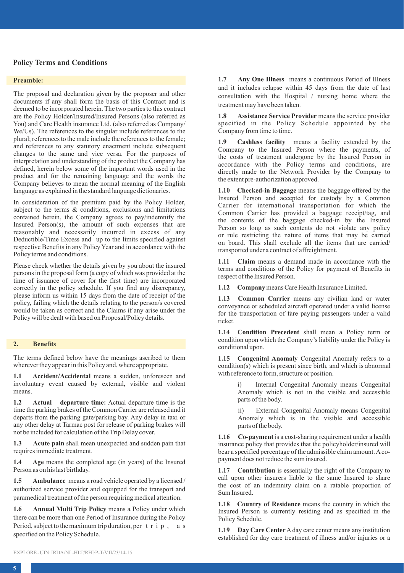## **Policy Terms and Conditions**

### **Preamble:**

The proposal and declaration given by the proposer and other documents if any shall form the basis of this Contract and is deemed to be incorporated herein. The two parties to this contract are the Policy Holder/Insured/Insured Persons (also referred as You) and Care Health insurance Ltd. (also referred as Company/ We/Us). The references to the singular include references to the plural; references to the male include the references to the female; and references to any statutory enactment include subsequent changes to the same and vice versa. For the purposes of interpretation and understanding of the product the Company has defined, herein below some of the important words used in the product and for the remaining language and the words the Company believes to mean the normal meaning of the English language as explained in the standard language dictionaries.

In consideration of the premium paid by the Policy Holder, subject to the terms & conditions, exclusions and limitations contained herein, the Company agrees to pay/indemnify the Insured Person(s), the amount of such expenses that are reasonably and necessarily incurred in excess of any Deductible/Time Excess and up to the limits specified against respective Benefits in any Policy Year and in accordance with the Policy terms and conditions.

Please check whether the details given by you about the insured persons in the proposal form (a copy of which was provided at the time of issuance of cover for the first time) are incorporated correctly in the policy schedule. If you find any discrepancy, please inform us within 15 days from the date of receipt of the policy, failing which the details relating to the person/s covered would be taken as correct and the Claims if any arise under the Policy will be dealt with based on Proposal/Policy details.

#### **2. Benefits**

The terms defined below have the meanings ascribed to them wherever they appear in this Policy and, where appropriate.

**1.1 Accident/Accidental** means a sudden, unforeseen and involuntary event caused by external, visible and violent means.

**1.2 Actual departure time:** Actual departure time is the time the parking brakes of the Common Carrier are released and it departs from the parking gate/parking bay. Any delay in taxi or any other delay at Tarmac post for release of parking brakes will not be included for calculation of the Trip Delay cover.

**1.3 Acute pain** shall mean unexpected and sudden pain that requires immediate treatment.

**1.4 Age** means the completed age (in years) of the Insured Person as on his last birthday.

**1.5 Ambulance** means a road vehicle operated by a licensed / authorized service provider and equipped for the transport and paramedical treatment of the person requiring medical attention.

**1.6 Annual Multi Trip Policy** means a Policy under which there can be more than one Period of Insurance during the Policy Period, subject to the maximum trip duration, per  $t \rvert i \rvert p$ , a s specified on the Policy Schedule.

**1.7 Any One Illness** means a continuous Period of Illness and it includes relapse within 45 days from the date of last consultation with the Hospital / nursing home where the treatment may have been taken.

**1.8 Assistance Service Provider** means the service provider specified in the Policy Schedule appointed by the Company from time to time.

**1.9 Cashless facility** means a facility extended by the Company to the Insured Person where the payments, of the costs of treatment undergone by the Insured Person in accordance with the Policy terms and conditions, are directly made to the Network Provider by the Company to the extent pre-authorization approved.

**1.10 Checked-in Baggage** means the baggage offered by the Insured Person and accepted for custody by a Common Carrier for international transportation for which the Common Carrier has provided a baggage receipt/tag, and the contents of the baggage checked-in by the Insured Person so long as such contents do not violate any policy or rule restricting the nature of items that may be carried on board. This shall exclude all the items that are carried/ transported under a contract of affreightment.

**1.11 Claim** means a demand made in accordance with the terms and conditions of the Policy for payment of Benefits in respect of the Insured Person.

**1.12 Company** means Care Health Insurance Limited.

**1.13 Common Carrier** means any civilian land or water conveyance or scheduled aircraft operated under a valid license for the transportation of fare paying passengers under a valid ticket.

**1.14 Condition Precedent** shall mean a Policy term or condition upon which the Company's liability under the Policy is conditional upon.

**1.15 Congenital Anomaly** Congenital Anomaly refers to a condition(s) which is present since birth, and which is abnormal with reference to form, structure or position.

> i) Internal Congenital Anomaly means Congenital Anomaly which is not in the visible and accessible parts of the body.

> External Congenital Anomaly means Congenital Anomaly which is in the visible and accessible parts of the body.

**1.16 Co-payment** is a cost-sharing requirement under a health insurance policy that provides that the policyholder/insured will bear a specified percentage of the admissible claim amount. Acopayment does not reduce the sum insured.

**1.17** Contribution is essentially the right of the Company to call upon other insurers liable to the same Insured to share the cost of an indemnity claim on a ratable proportion of Sum Insured.

**1.18 Country of Residence** means the country in which the Insured Person is currently residing and as specified in the Policy Schedule.

**1.19 Day Care Center**Aday care center means any institution established for day care treatment of illness and/or injuries or a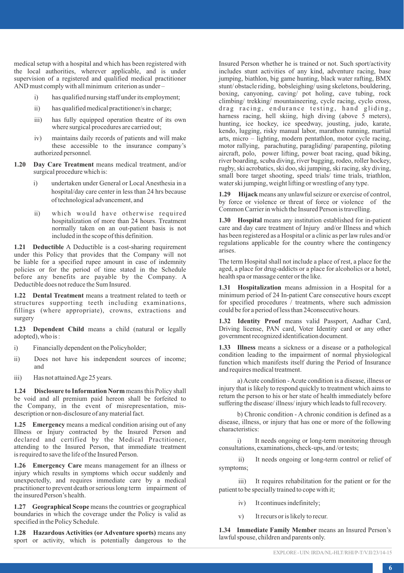medical setup with a hospital and which has been registered with the local authorities, wherever applicable, and is under supervision of a registered and qualified medical practitioner AND must comply with all minimum criterion as under –

- has qualified nursing staff under its employment:
- ii) has qualified medical practitioner/s in charge;
- iii) has fully equipped operation theatre of its own where surgical procedures are carried out;
- iv) maintains daily records of patients and will make these accessible to the insurance company's authorized personnel.
- **1.20 Day Care Treatment** means medical treatment, and/or surgical procedure which is:
	- i) undertaken under General or Local Anesthesia in a hospital/day care center in less than 24 hrs because of technological advancement, and
	- ii) which would have otherwise required hospitalization of more than 24 hours. Treatment normally taken on an out-patient basis is not included in the scope of this definition.

**1.21 Deductible** A Deductible is a cost-sharing requirement under this Policy that provides that the Company will not be liable for a specified rupee amount in case of indemnity policies or for the period of time stated in the Schedule before any benefits are payable by the Company. A Deductible does not reduce the Sum Insured.

**1.22 Dental Treatment** means a treatment related to teeth or structures supporting teeth including examinations, fillings (where appropriate), crowns, extractions and surgery

**1.23 Dependent Child** means a child (natural or legally adopted), who is  $\cdot$ 

- i) Financially dependent on the Policyholder:
- ii) Does not have his independent sources of income; and
- iii) Has not attained Age 25 years.

**1.24 Disclosure to Information Norm** means this Policy shall be void and all premium paid hereon shall be forfeited to the Company, in the event of misrepresentation, misdescription or non-disclosure of any material fact.

**1.25 Emergency** means a medical condition arising out of any Illness or Injury contracted by the Insured Person and declared and certified by the Medical Practitioner, attending to the Insured Person, that immediate treatment is required to save the life of the Insured Person.

**1.26 Emergency Care** means management for an illness or injury which results in symptoms which occur suddenly and unexpectedly, and requires immediate care by a medical practitioner to prevent death or serious long term impairment of the insured Person's health.

**1.27 Geographical Scope** means the countries or geographical boundaries in which the coverage under the Policy is valid as specified in the Policy Schedule.

**1.28 Hazardous Activities (or Adventure sports)** means any sport or activity, which is potentially dangerous to the

Insured Person whether he is trained or not. Such sport/activity includes stunt activities of any kind, adventure racing, base jumping, biathlon, big game hunting, black water rafting, BMX stunt/ obstacle riding, bobsleighing/ using skeletons, bouldering, boxing, canyoning, caving/ pot holing, cave tubing, rock climbing/ trekking/ mountaineering, cycle racing, cyclo cross, drag racing, endurance testing, hand gliding, harness racing, hell skiing, high diving (above  $5$  meters), hunting, ice hockey, ice speedway, jousting, judo, karate, kendo, lugging, risky manual labor, marathon running, martial arts, micro – lighting, modern pentathlon, motor cycle racing, motor rallying, parachuting, paragliding/ parapenting, piloting aircraft, polo, power lifting, power boat racing, quad biking, river boarding, scuba diving, river bugging, rodeo, roller hockey, rugby, ski acrobatics, ski doo, ski jumping, ski racing, sky diving, small bore target shooting, speed trials/ time trials, triathlon, water ski jumping, weight lifting or wrestling of any type.

**1.29 Hijack** means any unlawful seizure or exercise of control, by force or violence or threat of force or violence of the Common Carrier in which the Insured Person is travelling.

**1.30 Hospital** means any institution established for in-patient care and day care treatment of Injury and/or Illness and which has been registered as a Hospital or a clinic as per law rules and/or regulations applicable for the country where the contingency arises.

The term Hospital shall not include a place of rest, a place for the aged, a place for drug-addicts or a place for alcoholics or a hotel, health spa or massage center or the like.

**1.31 Hospitalization** means admission in a Hospital for a minimum period of 24 In-patient Care consecutive hours except for specified procedures / treatments, where such admission could be for a period of less than 24consecutive hours.

**1.32 Identity Proof** means valid Passport, Aadhar Card, Driving license, PAN card, Voter Identity card or any other government recognized identification document.

**1.33 Illness** means a sickness or a disease or a pathological condition leading to the impairment of normal physiological function which manifests itself during the Period of Insurance and requires medical treatment.

a) Acute condition - Acute condition is a disease, illness or injury that is likely to respond quickly to treatment which aims to return the person to his or her state of health immediately before suffering the disease/ illness/ injury which leads to full recovery.

b) Chronic condition - A chronic condition is defined as a disease, illness, or injury that has one or more of the following characteristics:

i) It needs ongoing or long-term monitoring through consultations, examinations, check-ups, and /or tests;

ii) It needs ongoing or long-term control or relief of symptoms;

iii) It requires rehabilitation for the patient or for the patient to be specially trained to cope with it;

- iv) It continues indefinitely;
- v) It recurs or is likely to recur.

**1.34 Immediate Family Member** means an Insured Person's lawful spouse, children and parents only.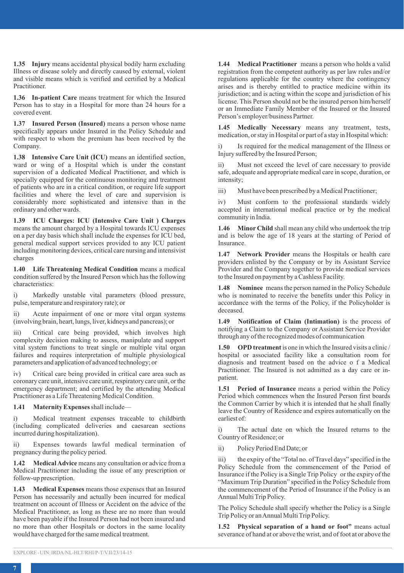**1.35 Injury** means accidental physical bodily harm excluding Illness or disease solely and directly caused by external, violent and visible means which is verified and certified by a Medical Practitioner.

**1.36 In-patient Care** means treatment for which the Insured Person has to stay in a Hospital for more than 24 hours for a covered event.

**1.37 Insured Person (Insured)** means a person whose name specifically appears under Insured in the Policy Schedule and with respect to whom the premium has been received by the Company.

**1.38 Intensive Care Unit (ICU)** means an identified section, ward or wing of a Hospital which is under the constant supervision of a dedicated Medical Practitioner, and which is specially equipped for the continuous monitoring and treatment of patients who are in a critical condition, or require life support facilities and where the level of care and supervision is considerably more sophisticated and intensive than in the ordinary and other wards.

**1.39 ICU Charges: ICU (Intensive Care Unit ) Charges** means the amount charged by a Hospital towards ICU expenses on a per day basis which shall include the expenses for ICU bed, general medical support services provided to any ICU patient including monitoring devices, critical care nursing and intensivist charges

**1.40 Life Threatening Medical Condition** means a medical condition suffered by the Insured Person which has the following characteristics:

i) Markedly unstable vital parameters (blood pressure, pulse, temperature and respiratory rate); or

ii) Acute impairment of one or more vital organ systems (involving brain, heart, lungs, liver, kidneys and pancreas); or

iii) Critical care being provided, which involves high complexity decision making to assess, manipulate and support vital system functions to treat single or multiple vital organ failures and requires interpretation of multiple physiological parameters and application of advanced technology; or

iv) Critical care being provided in critical care area such as coronary care unit, intensive care unit, respiratory care unit, or the emergency department; and certified by the attending Medical Practitioner as a Life Threatening Medical Condition.

**1.41 Maternity Expenses**shall include—

i) Medical treatment expenses traceable to childbirth (including complicated deliveries and caesarean sections incurred during hospitalization).

ii) Expenses towards lawful medical termination of pregnancy during the policy period.

**1.42 Medical Advice** means any consultation or advice from a Medical Practitioner including the issue of any prescription or follow-up prescription.

**1.43 Medical Expenses** means those expenses that an Insured Person has necessarily and actually been incurred for medical treatment on account of Illness or Accident on the advice of the Medical Practitioner, as long as these are no more than would have been payable if the Insured Person had not been insured and no more than other Hospitals or doctors in the same locality would have charged for the same medical treatment.

**1.44 Medical Practitioner** means a person who holds a valid registration from the competent authority as per law rules and/or regulations applicable for the country where the contingency arises and is thereby entitled to practice medicine within its jurisdiction; and is acting within the scope and jurisdiction of his license. This Person should not be the insured person him/herself or an Immediate Family Member of the Insured or the Insured Person's employer/business Partner.

**1.45 Medically Necessary** means any treatment, tests, medication, or stay in Hospital or part of a stay in Hospital which:

i) Is required for the medical management of the Illness or Injury suffered by the Insured Person;

ii) Must not exceed the level of care necessary to provide safe, adequate and appropriate medical care in scope, duration, or intensity;

iii) Must have been prescribed by a Medical Practitioner;

iv) Must conform to the professional standards widely accepted in international medical practice or by the medical community in India.

**1.46 Minor Child** shall mean any child who undertook the trip and is below the age of 18 years at the starting of Period of Insurance.

**1.47 Network Provider** means the Hospitals or health care providers enlisted by the Company or by its Assistant Service Provider and the Company together to provide medical services to the Insured on payment by a Cashless Facility.

**1.48 Nominee** means the person named in the Policy Schedule who is nominated to receive the benefits under this Policy in accordance with the terms of the Policy, if the Policyholder is deceased.

**1.49 Notification of Claim (Intimation)** is the process of notifying a Claim to the Company or Assistant Service Provider through any of the recognized modes of communication

**1.50 OPD treatment**is one in which the Insured visits a clinic / hospital or associated facility like a consultation room for diagnosis and treatment based on the advice o f a Medical Practitioner. The Insured is not admitted as a day care or inpatient.

**1.51 Period of Insurance** means a period within the Policy Period which commences when the Insured Person first boards the Common Carrier by which it is intended that he shall finally leave the Country of Residence and expires automatically on the earliest of:

i) The actual date on which the Insured returns to the Country of Residence; or

ii) Policy Period End Date; or

iii) the expiry of the "Total no. of Travel days" specified in the Policy Schedule from the commencement of the Period of Insurance if the Policy is a Single Trip Policy or the expiry of the "Maximum Trip Duration" specified in the Policy Schedule from the commencement of the Period of Insurance if the Policy is an Annual Multi Trip Policy.

The Policy Schedule shall specify whether the Policy is a Single Trip Policy or an Annual Multi Trip Policy.

**1.52 Physical separation of a hand or foot"** means actual severance of hand at or above the wrist, and of foot at or above the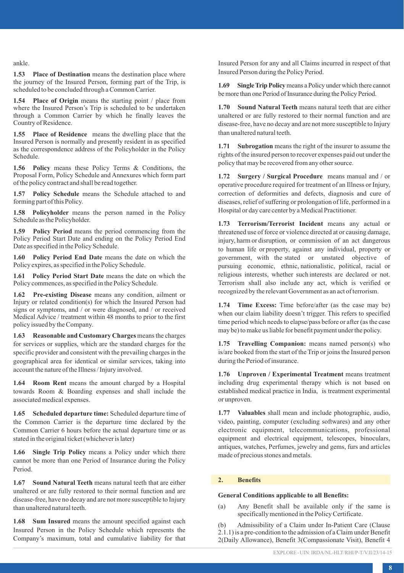ankle.

**1.53 Place of Destination** means the destination place where the journey of the Insured Person, forming part of the Trip, is scheduled to be concluded through a Common Carrier.

**1.54 Place of Origin** means the starting point / place from where the Insured Person's Trip is scheduled to be undertaken through a Common Carrier by which he finally leaves the Country of Residence.

**1.55 Place of Residence** means the dwelling place that the Insured Person is normally and presently resident in as specified as the correspondence address of the Policyholder in the Policy Schedule.

**1.56 Policy** means these Policy Terms & Conditions, the Proposal Form, Policy Schedule and Annexures which form part of the policy contract and shall be read together.

**1.57 Policy Schedule** means the Schedule attached to and forming part of this Policy.

**1.58 Policyholder** means the person named in the Policy Schedule as the Policyholder.

**1.59 Policy Period** means the period commencing from the Policy Period Start Date and ending on the Policy Period End Date as specified in the Policy Schedule.

**1.60 Policy Period End Date** means the date on which the Policy expires, as specified in the Policy Schedule.

**1.61 Policy Period Start Date** means the date on which the Policy commences, as specified in the Policy Schedule.

**1.62 Pre-existing Disease** means any condition, ailment or Injury or related condition(s) for which the Insured Person had signs or symptoms, and / or were diagnosed, and / or received Medical Advice / treatment within 48 months to prior to the first policy issued by the Company.

**1.63 Reasonable and Customary Charges** means the charges for services or supplies, which are the standard charges for the specific provider and consistent with the prevailing charges in the geographical area for identical or similar services, taking into account the nature of the Illness / Injury involved.

**1.64 Room Rent** means the amount charged by a Hospital towards Room & Boarding expenses and shall include the associated medical expenses.

**1.65 Scheduled departure time:** Scheduled departure time of the Common Carrier is the departure time declared by the Common Carrier 6 hours before the actual departure time or as stated in the original ticket (whichever is later)

**1.66 Single Trip Policy** means a Policy under which there cannot be more than one Period of Insurance during the Policy Period.

**1.67 Sound Natural Teeth** means natural teeth that are either unaltered or are fully restored to their normal function and are disease-free, have no decay and are not more susceptible to Injury than unaltered natural teeth.

**1.68 Sum Insured** means the amount specified against each Insured Person in the Policy Schedule which represents the Company's maximum, total and cumulative liability for that Insured Person for any and all Claims incurred in respect of that Insured Person during the Policy Period.

**1.69 Single Trip Policy**means a Policy under which there cannot be more than one Period of Insurance during the Policy Period.

**1.70 Sound Natural Teeth** means natural teeth that are either unaltered or are fully restored to their normal function and are disease-free, have no decay and are not more susceptible to Injury than unaltered natural teeth.

**1.71 Subrogation** means the right of the insurer to assume the rights of the insured person to recover expenses paid out under the policy that may be recovered from any other source.

**1.72 Surgery / Surgical Procedure** means manual and / or operative procedure required for treatment of an Illness or Injury, correction of deformities and defects, diagnosis and cure of diseases, relief of suffering or prolongation of life, performed in a Hospital or day care center by a Medical Practitioner.

**1.73 Terrorism/Terrorist Incident** means any actual or threatened use of force or violence directed at or causing damage, injury, harm or disruption, or commission of an act dangerous to human life or property, against any individual, property or government, with the stated or unstated objective of pursuing economic, ethnic, nationalistic, political, racial or religious interests, whether such interests are declared or not. Terrorism shall also include any act, which is verified or recognized by the relevant Government as an act of terrorism.

**1.74 Time Excess:** Time before/after (as the case may be) when our claim liability doesn't trigger. This refers to specified time period which needs to elapse/pass before or after (as the case may be) to make us liable for benefit payment under the policy.

**1.75 Travelling Companion:** means named person(s) who is/are booked from the start of the Trip or joins the Insured person during the Period of insurance.

**1.76 Unproven / Experimental Treatment** means treatment including drug experimental therapy which is not based on established medical practice in India, is treatment experimental or unproven.

**1.77 Valuables** shall mean and include photographic, audio, video, painting, computer (excluding softwares) and any other electronic equipment, telecommunications, professional equipment and electrical equipment, telescopes, binoculars, antiques, watches, Perfumes, jewelry and gems, furs and articles made of precious stones and metals.

## **2. Benefits**

### **General Conditions applicable to all Benefits:**

(a) Any Benefit shall be available only if the same is specifically mentioned in the Policy Certificate.

(b) Admissibility of a Claim under In-Patient Care (Clause 2.1.1) is a pre-condition to the admission of a Claim under Benefit 2(Daily Allowance), Benefit 3(Compassionate Visit), Benefit 4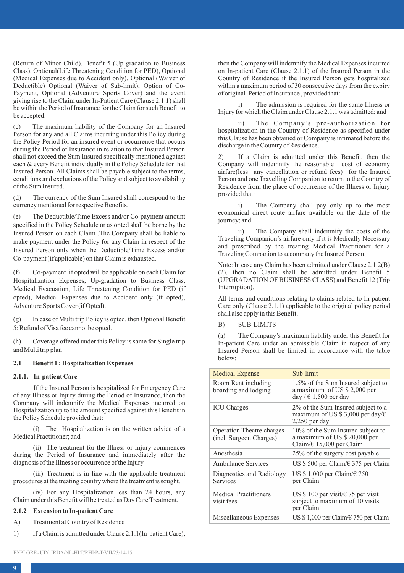(Return of Minor Child), Benefit 5 (Up gradation to Business Class), Optional(Life Threatening Condition for PED), Optional (Medical Expenses due to Accident only), Optional (Waiver of Deductible) Optional (Waiver of Sub-limit), Option of Co-Payment, Optional (Adventure Sports Cover) and the event giving rise to the Claim under In-Patient Care (Clause 2.1.1) shall be within the Period of Insurance for the Claim for such Benefit to be accepted.

(c) The maximum liability of the Company for an Insured Person for any and all Claims incurring under this Policy during the Policy Period for an insured event or occurrence that occurs during the Period of Insurance in relation to that Insured Person shall not exceed the Sum Insured specifically mentioned against each & every Benefit individually in the Policy Schedule for that Insured Person. All Claims shall be payable subject to the terms, conditions and exclusions of the Policy and subject to availability of the Sum Insured.

(d) The currency of the Sum Insured shall correspond to the currency mentioned for respective Benefits.

(e) The Deductible/Time Excess and/or Co-payment amount specified in the Policy Schedule or as opted shall be borne by the Insured Person on each Claim .The Company shall be liable to make payment under the Policy for any Claim in respect of the Insured Person only when the Deductible/Time Excess and/or Co-payment (if applicable) on that Claim is exhausted.

(f) Co-payment if opted will be applicable on each Claim for Hospitalization Expenses, Up-gradation to Business Class, Medical Evacuation, Life Threatening Condition for PED (if opted), Medical Expenses due to Accident only (if opted), Adventure Sports Cover (if Opted).

(g) In case of Multi trip Policy is opted, then Optional Benefit 5: Refund of Visa fee cannot be opted.

(h) Coverage offered under this Policy is same for Single trip and Multi trip plan

## **2.1 Benefit 1 : Hospitalization Expenses**

#### **2.1.1. In-patient Care**

If the Insured Person is hospitalized for Emergency Care of any Illness or Injury during the Period of Insurance, then the Company will indemnify the Medical Expenses incurred on Hospitalization up to the amount specified against this Benefit in the Policy Schedule provided that:

(i) The Hospitalization is on the written advice of a Medical Practitioner; and

(ii) The treatment for the Illness or Injury commences during the Period of Insurance and immediately after the diagnosis of the Illness or occurrence of the Injury.

(iii) Treatment is in line with the applicable treatment procedures at the treating country where the treatment is sought.

(iv) For any Hospitalization less than 24 hours, any Claim under this Benefit will be treated as Day Care Treatment.

#### **2.1.2 Extension to In-patient Care**

A) Treatment at Country of Residence

1) If a Claim is admitted under Clause 2.1.1(In-patient Care),

then the Company will indemnify the Medical Expenses incurred on In-patient Care (Clause 2.1.1) of the Insured Person in the Country of Residence if the Insured Person gets hospitalized within a maximum period of 30 consecutive days from the expiry of original Period of Insurance , provided that:

The admission is required for the same Illness or Injury for which the Claim under Clause 2.1.1 was admitted; and

ii) The Company's pre-authorization for hospitalization in the Country of Residence as specified under this Clause has been obtained or Company is intimated before the discharge in the Country of Residence.

If a Claim is admitted under this Benefit, then the Company will indemnify the reasonable cost of economy airfare(less any cancellation or refund fees) for the Insured Person and one Travelling Companion to return to the Country of Residence from the place of occurrence of the Illness or Injury provided that:

i) The Company shall pay only up to the most economical direct route airfare available on the date of the journey; and

ii) The Company shall indemnify the costs of the Traveling Companion's airfare only if it is Medically Necessary and prescribed by the treating Medical Practitioner for a Traveling Companion to accompany the Insured Person;

Note: In case any Claim has been admitted under Clause 2.1.2(B) (2), then no Claim shall be admitted under Benefit 5 (UPGRADATION OF BUSINESS CLASS) and Benefit 12 (Trip Interruption).

All terms and conditions relating to claims related to In-patient Care only (Clause 2.1.1) applicable to the original policy period shall also apply in this Benefit.

B) SUB-LIMITS

(a) The Company's maximum liability under this Benefit for In-patient Care under an admissible Claim in respect of any Insured Person shall be limited in accordance with the table below:

| <b>Medical Expense</b>                               | Sub-limit                                                                                           |
|------------------------------------------------------|-----------------------------------------------------------------------------------------------------|
| Room Rent including<br>boarding and lodging          | 1.5% of the Sum Insured subject to<br>a maximum of US \$ 2,000 per<br>day / $\in$ 1,500 per day     |
| <b>ICU</b> Charges                                   | 2% of the Sum Insured subject to a<br>maximum of US \$ 3,000 per day/ $\in$<br>$2,250$ per day      |
| Operation Theatre charges<br>(incl. Surgeon Charges) | 10% of the Sum Insured subject to<br>a maximum of US \$ 20,000 per<br>Claim/ $\in$ 15,000 per Claim |
| Anesthesia                                           | 25% of the surgery cost payable                                                                     |
| Ambulance Services                                   | US \$500 per Claim/ $\in$ 375 per Claim                                                             |
| Diagnostics and Radiology<br>Services                | US \$1,000 per Claim/ $\in$ 750<br>per Claim                                                        |
| <b>Medical Practitioners</b><br>visit fees           | US \$100 per visit/ $\epsilon$ 75 per visit<br>subject to maximum of 10 visits<br>per Claim         |
| Miscellaneous Expenses                               | US \$1,000 per Claim/ $\in$ 750 per Claim                                                           |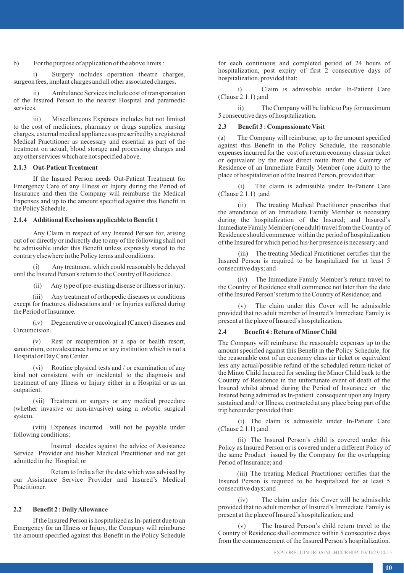#### b) For the purpose of application of the above limits :

Surgery includes operation theatre charges, surgeon fees, implant charges and all other associated charges.

ii) Ambulance Services include cost of transportation of the Insured Person to the nearest Hospital and paramedic services.

iii) Miscellaneous Expenses includes but not limited to the cost of medicines, pharmacy or drugs supplies, nursing charges, external medical appliances as prescribed by a registered Medical Practitioner as necessary and essential as part of the treatment on actual, blood storage and processing charges and any other services which are not specified above.

## **2.1.3 Out-Patient Treatment**

If the Insured Person needs Out-Patient Treatment for Emergency Care of any Illness or Injury during the Period of Insurance and then the Company will reimburse the Medical Expenses and up to the amount specified against this Benefit in the Policy Schedule.

#### **2.1.4 Additional Exclusions applicable to Benefit 1**

Any Claim in respect of any Insured Person for, arising out of or directly or indirectly due to any of the following shall not be admissible under this Benefit unless expressly stated to the contrary elsewhere in the Policy terms and conditions:

(i) Any treatment, which could reasonably be delayed until the Insured Person's return to the Country of Residence.

(ii) Any type of pre-existing disease or illness or injury.

(iii) Any treatment of orthopedic diseases or conditions except for fractures, dislocations and / or Injuries suffered during the Period of Insurance.

(iv) Degenerative or oncological (Cancer) diseases and Circumcision.

(v) Rest or recuperation at a spa or health resort, sanatorium, convalescence home or any institution which is not a Hospital or Day Care Center.

(vi) Routine physical tests and / or examination of any kind not consistent with or incidental to the diagnosis and treatment of any Illness or Injury either in a Hospital or as an outpatient.

(vii) Treatment or surgery or any medical procedure (whether invasive or non-invasive) using a robotic surgical system.

(viii) Expenses incurred will not be payable under following conditions:

Insured decides against the advice of Assistance Service Provider and his/her Medical Practitioner and not get admitted in the Hospital; or

Return to India after the date which was advised by our Assistance Service Provider and Insured's Medical Practitioner.

#### **2.2 Benefit 2 : Daily Allowance**

If the Insured Person is hospitalized as In-patient due to an Emergency for an Illness or Injury, the Company will reimburse the amount specified against this Benefit in the Policy Schedule

for each continuous and completed period of 24 hours of hospitalization, post expiry of first 2 consecutive days of hospitalization, provided that:

i) Claim is admissible under In-Patient Care (Clause 2.1.1) ;and

ii) The Company will be liable to Pay for maximum 5 consecutive days of hospitalization.

#### **2.3 Benefit 3 : Compassionate Visit**

(a) The Company will reimburse, up to the amount specified against this Benefit in the Policy Schedule, the reasonable expenses incurred for the cost of a return economy class air ticket or equivalent by the most direct route from the Country of Residence of an Immediate Family Member (one adult) to the place of hospitalization of the Insured Person, provided that:

(i) The claim is admissible under In-Patient Care (Clause  $2.1.1$ ) ;and

(ii) The treating Medical Practitioner prescribes that the attendance of an Immediate Family Member is necessary during the hospitalization of the Insured; and Insured's Immediate Family Member (one adult) travel from the Country of Residence should commence within the period of hospitalization of the Insured for which period his/her presence is necessary; and

(iii) The treating Medical Practitioner certifies that the Insured Person is required to be hospitalized for at least 5 consecutive days; and

(iv) The Immediate Family Member's return travel to the Country of Residence shall commence not later than the date of the Insured Person's return to the Country of Residence; and

(v) The claim under this Cover will be admissible provided that no adult member of Insured's Immediate Family is present at the place of Insured's hospitalization.

### **2.4 Benefit 4 : Return of MinorChild**

The Company will reimburse the reasonable expenses up to the amount specified against this Benefit in the Policy Schedule, for the reasonable cost of an economy class air ticket or equivalent less any actual/possible refund of the scheduled return ticket of the Minor Child Incurred for sending the Minor Child back to the Country of Residence in the unfortunate event of death of the Insured whilst abroad during the Period of Insurance or the Insured being admitted as In-patient consequent upon any Injury sustained and / or Illness, contracted at any place being part of the trip hereunder provided that:

(i) The claim is admissible under In-Patient Care (Clause 2.1.1) ;and

(ii) The Insured Person's child is covered under this Policy as Insured Person or is covered under a different Policy of the same Product issued by the Company for the overlapping Period of Insurance; and

(iii) The treating Medical Practitioner certifies that the Insured Person is required to be hospitalized for at least 5 consecutive days; and

(iv) The claim under this Cover will be admissible provided that no adult member of Insured's Immediate Family is present at the place of Insured's hospitalization; and

(v) The Insured Person's child return travel to the Country of Residence shall commence within 5 consecutive days from the commencement of the Insured Person's hospitalization.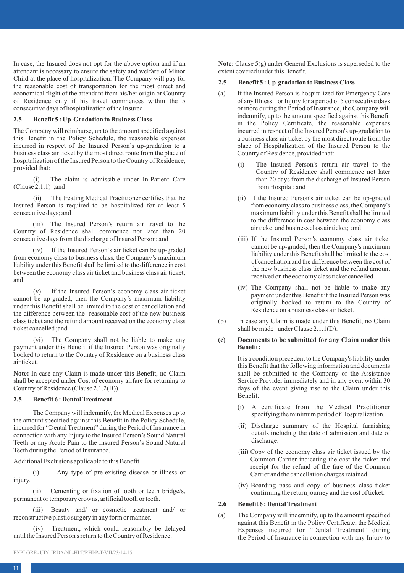In case, the Insured does not opt for the above option and if an attendant is necessary to ensure the safety and welfare of Minor Child at the place of hospitalization. The Company will pay for the reasonable cost of transportation for the most direct and economical flight of the attendant from his/her origin or Country of Residence only if his travel commences within the 5 consecutive days of hospitalization of the Insured.

#### **2.5 Benefit 5 : Up-Gradation to Business Class**

The Company will reimburse, up to the amount specified against this Benefit in the Policy Schedule, the reasonable expenses incurred in respect of the Insured Person's up-gradation to a business class air ticket by the most direct route from the place of hospitalization of the Insured Person to the Country of Residence, provided that:

(i) The claim is admissible under In-Patient Care (Clause 2.1.1) ;and

(ii) The treating Medical Practitioner certifies that the Insured Person is required to be hospitalized for at least 5 consecutive days; and

(iii) The Insured Person's return air travel to the Country of Residence shall commence not later than 20 consecutive days from the discharge of Insured Person; and

(iv) If the Insured Person's air ticket can be up-graded from economy class to business class, the Company's maximum liability under this Benefit shall be limited to the difference in cost between the economy class air ticket and business class air ticket; and

(v) If the Insured Person's economy class air ticket cannot be up-graded, then the Company's maximum liability under this Benefit shall be limited to the cost of cancellation and the difference between the reasonable cost of the new business class ticket and the refund amount received on the economy class ticket cancelled ;and

(vi) The Company shall not be liable to make any payment under this Benefit if the Insured Person was originally booked to return to the Country of Residence on a business class air ticket.

**Note:** In case any Claim is made under this Benefit, no Claim shall be accepted under Cost of economy airfare for returning to Country of Residence (Clause 2.1.2(B)).

## **2.5 Benefit 6 : Dental Treatment**

The Company will indemnify, the Medical Expenses up to the amount specified against this Benefit in the Policy Schedule, incurred for "Dental Treatment" during the Period of Insurance in connection with any Injury to the Insured Person's Sound Natural Teeth or any Acute Pain to the Insured Person's Sound Natural Teeth during the Period of Insurance.

Additional Exclusions applicable to this Benefit

(i) Any type of pre-existing disease or illness or injury.

(ii) Cementing or fixation of tooth or teeth bridge/s, permanent or temporary crowns, artificial tooth or teeth.

(iii) Beauty and/ or cosmetic treatment and/ or reconstructive plastic surgery in any form or manner.

(iv) Treatment, which could reasonably be delayed until the Insured Person's return to the Country of Residence.

**Note:** Clause 5(g) under General Exclusions is superseded to the extent covered under this Benefit.

## **2.5 Benefit 5 : Up-gradation to Business Class**

- (a) If the Insured Person is hospitalized for Emergency Care of any Illness or Injury for a period of 5 consecutive days or more during the Period of Insurance, the Company will indemnify, up to the amount specified against this Benefit in the Policy Certificate, the reasonable expenses incurred in respect of the Insured Person's up-gradation to a business class air ticket by the most direct route from the place of Hospitalization of the Insured Person to the Country of Residence, provided that:
	- (i) The Insured Person's return air travel to the Country of Residence shall commence not later than 20 days from the discharge of Insured Person from Hospital; and
	- (ii) If the Insured Person's air ticket can be up-graded from economy class to business class, the Company's maximum liability under this Benefit shall be limited to the difference in cost between the economy class air ticket and business class air ticket; and
	- (iii) If the Insured Person's economy class air ticket cannot be up-graded, then the Company's maximum liability under this Benefit shall be limited to the cost of cancellation and the difference between the cost of the new business class ticket and the refund amount received on the economy class ticket cancelled.
	- (iv) The Company shall not be liable to make any payment under this Benefit if the Insured Person was originally booked to return to the Country of Residence on a business class air ticket.
- (b) In case any Claim is made under this Benefit, no Claim shall be made under Clause 2.1.1(D).

#### **(c) Documents to be submitted for any Claim under this Benefit:**

It is a condition precedent to the Company's liability under this Benefit that the following information and documents shall be submitted to the Company or the Assistance Service Provider immediately and in any event within 30 days of the event giving rise to the Claim under this Benefit:

- (i) A certificate from the Medical Practitioner specifying the minimum period of Hospitalization.
- (ii) Discharge summary of the Hospital furnishing details including the date of admission and date of discharge.
- (iii) Copy of the economy class air ticket issued by the Common Carrier indicating the cost the ticket and receipt for the refund of the fare of the Common Carrier and the cancellation charges retained.
- (iv) Boarding pass and copy of business class ticket confirming the return journey and the cost of ticket.

### **2.6 Benefit 6 : Dental Treatment**

(a) The Company will indemnify, up to the amount specified against this Benefit in the Policy Certificate, the Medical Expenses incurred for "Dental Treatment" during the Period of Insurance in connection with any Injury to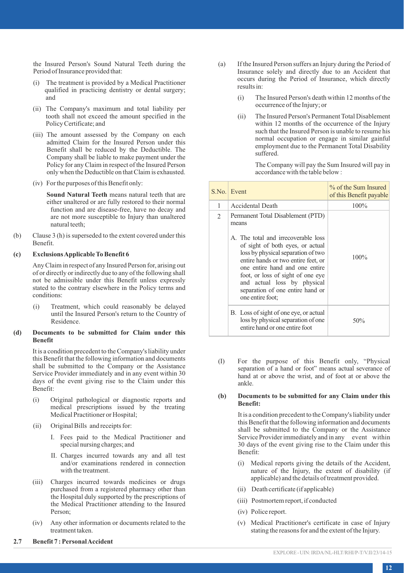the Insured Person's Sound Natural Teeth during the Period of Insurance provided that:

- The treatment is provided by a Medical Practitioner qualified in practicing dentistry or dental surgery; and
- (ii) The Company's maximum and total liability per tooth shall not exceed the amount specified in the Policy Certificate; and
- (iii) The amount assessed by the Company on each admitted Claim for the Insured Person under this Benefit shall be reduced by the Deductible. The Company shall be liable to make payment under the Policy for any Claim in respect of the Insured Person only when the Deductible on that Claim is exhausted.
- (iv) For the purposes of this Benefit only:

**Sound Natural Teeth** means natural teeth that are either unaltered or are fully restored to their normal function and are disease-free, have no decay and are not more susceptible to Injury than unaltered natural teeth;

(b) Clause 3 (h) is superseded to the extent covered under this Benefit.

### **(c) Exclusions Applicable To Benefit 6**

Any Claim in respect of any Insured Person for, arising out of or directly or indirectly due to any of the following shall not be admissible under this Benefit unless expressly stated to the contrary elsewhere in the Policy terms and conditions:

(i) Treatment, which could reasonably be delayed until the Insured Person's return to the Country of Residence.

### **(d) Documents to be submitted for Claim under this Benefit**

It is a condition precedent to the Company's liability under this Benefit that the following information and documents shall be submitted to the Company or the Assistance Service Provider immediately and in any event within 30 days of the event giving rise to the Claim under this Benefit:

- (i) Original pathological or diagnostic reports and medical prescriptions issued by the treating Medical Practitioner or Hospital;
- (ii) Original Bills and receipts for:
	- I. Fees paid to the Medical Practitioner and special nursing charges; and
	- II. Charges incurred towards any and all test and/or examinations rendered in connection with the treatment.
- (iii) Charges incurred towards medicines or drugs purchased from a registered pharmacy other than the Hospital duly supported by the prescriptions of the Medical Practitioner attending to the Insured Person;
- (iv) Any other information or documents related to the treatment taken.
- (a) If the Insured Person suffers an Injury during the Period of Insurance solely and directly due to an Accident that occurs during the Period of Insurance, which directly results in:
	- (i) The Insured Person's death within 12 months of the occurrence of the Injury; or
	- (ii) The Insured Person's Permanent Total Disablement within 12 months of the occurrence of the Injury such that the Insured Person is unable to resume his normal occupation or engage in similar gainful employment due to the Permanent Total Disability suffered.

The Company will pay the Sum Insured will pay in accordance with the table below :

|                | S.No. Event                                                                                                                                                                                                                                                                                                                                                      | % of the Sum Insured<br>of this Benefit payable |
|----------------|------------------------------------------------------------------------------------------------------------------------------------------------------------------------------------------------------------------------------------------------------------------------------------------------------------------------------------------------------------------|-------------------------------------------------|
| 1              | Accidental Death                                                                                                                                                                                                                                                                                                                                                 | 100%                                            |
| $\overline{c}$ | Permanent Total Disablement (PTD)<br>means<br>A. The total and irrecoverable loss<br>of sight of both eyes, or actual<br>loss by physical separation of two<br>entire hands or two entire feet, or<br>one entire hand and one entire<br>foot, or loss of sight of one eye<br>and actual loss by physical<br>separation of one entire hand or<br>one entire foot; | 100%                                            |
|                | B. Loss of sight of one eye, or actual<br>loss by physical separation of one<br>entire hand or one entire foot                                                                                                                                                                                                                                                   | 50%                                             |

(I) For the purpose of this Benefit only, "Physical separation of a hand or foot" means actual severance of hand at or above the wrist, and of foot at or above the ankle.

#### **(b) Documents to be submitted for any Claim under this Benefit:**

It is a condition precedent to the Company's liability under this Benefit that the following information and documents shall be submitted to the Company or the Assistance Service Provider immediately and in any event within 30 days of the event giving rise to the Claim under this Benefit:

- (i) Medical reports giving the details of the Accident, nature of the Injury, the extent of disability (if applicable) and the details of treatment provided.
- (ii) Death certificate (if applicable)
- (iii) Postmortem report, if conducted
- (iv) Police report.
- (v) Medical Practitioner's certificate in case of Injury stating the reasons for and the extent of the Injury.

**2.7 Benefit 7 : Personal Accident**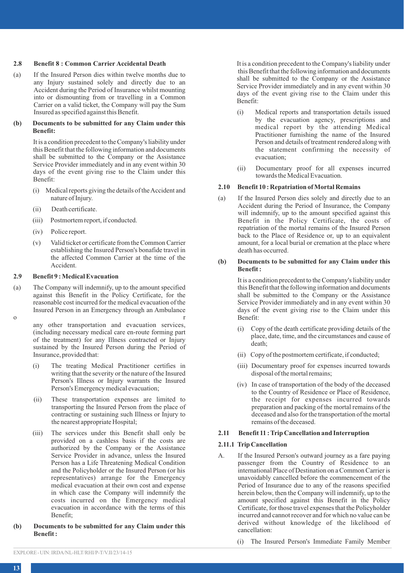### **2.8 Benefit 8 : Common Carrier Accidental Death**

(a) If the Insured Person dies within twelve months due to any Injury sustained solely and directly due to an Accident during the Period of Insurance whilst mounting into or dismounting from or travelling in a Common Carrier on a valid ticket, the Company will pay the Sum Insured as specified against this Benefit.

### **(b) Documents to be submitted for any Claim under this Benefit:**

It is a condition precedent to the Company's liability under this Benefit that the following information and documents shall be submitted to the Company or the Assistance Service Provider immediately and in any event within 30 days of the event giving rise to the Claim under this Benefit:

- (i) Medical reports giving the details of the Accident and nature of Injury.
- (ii) Death certificate.
- (iii) Postmortem report, if conducted.
- (iv) Police report.
- (v) Valid ticket or certificate from the Common Carrier establishing the Insured Person's bonafide travel in the affected Common Carrier at the time of the Accident.

### **2.9 Benefit 9 : Medical Evacuation**

- (a) The Company will indemnify, up to the amount specified against this Benefit in the Policy Certificate, for the reasonable cost incurred for the medical evacuation of the Insured Person in an Emergency through an Ambulance
- 

o r any other transportation and evacuation services, (including necessary medical care en-route forming part of the treatment) for any Illness contracted or Injury sustained by the Insured Person during the Period of Insurance, provided that:

- (i) The treating Medical Practitioner certifies in writing that the severity or the nature of the Insured Person's Illness or Injury warrants the Insured Person's Emergency medical evacuation;
- (ii) These transportation expenses are limited to transporting the Insured Person from the place of contracting or sustaining such Illness or Injury to the nearest appropriate Hospital;
- (iii) The services under this Benefit shall only be provided on a cashless basis if the costs are authorized by the Company or the Assistance Service Provider in advance, unless the Insured Person has a Life Threatening Medical Condition and the Policyholder or the Insured Person (or his representatives) arrange for the Emergency medical evacuation at their own cost and expense in which case the Company will indemnify the costs incurred on the Emergency medical evacuation in accordance with the terms of this Benefit;
- **(b) Documents to be submitted for any Claim under this Benefit :**

It is a condition precedent to the Company's liability under this Benefit that the following information and documents shall be submitted to the Company or the Assistance Service Provider immediately and in any event within 30 days of the event giving rise to the Claim under this Benefit:

- (i) Medical reports and transportation details issued by the evacuation agency, prescriptions and medical report by the attending Medical Practitioner furnishing the name of the Insured Person and details of treatment rendered along with the statement confirming the necessity of evacuation;
- (ii) Documentary proof for all expenses incurred towards the Medical Evacuation.

### **2.10 Benefit 10 : Repatriation of Mortal Remains**

(a) If the Insured Person dies solely and directly due to an Accident during the Period of Insurance, the Company will indemnify, up to the amount specified against this Benefit in the Policy Certificate, the costs of repatriation of the mortal remains of the Insured Person back to the Place of Residence or, up to an equivalent amount, for a local burial or cremation at the place where death has occurred.

### **(b) Documents to be submitted for any Claim under this Benefit :**

It is a condition precedent to the Company's liability under this Benefit that the following information and documents shall be submitted to the Company or the Assistance Service Provider immediately and in any event within 30 days of the event giving rise to the Claim under this Benefit:

- (i) Copy of the death certificate providing details of the place, date, time, and the circumstances and cause of death;
- (ii) Copy of the postmortem certificate, if conducted;
- (iii) Documentary proof for expenses incurred towards disposal of the mortal remains;
- (iv) In case of transportation of the body of the deceased to the Country of Residence or Place of Residence, the receipt for expenses incurred towards preparation and packing of the mortal remains of the deceased and also for the transportation of the mortal remains of the deceased.

### **2.11 Benefit 11 : Trip Cancellation and Interruption**

### **2.11.1 Trip Cancellation**

- A. If the Insured Person's outward journey as a fare paying passenger from the Country of Residence to an international Place of Destination on a Common Carrier is unavoidably cancelled before the commencement of the Period of Insurance due to any of the reasons specified herein below, then the Company will indemnify, up to the amount specified against this Benefit in the Policy Certificate, for those travel expenses that the Policyholder incurred and cannot recover and for which no value can be derived without knowledge of the likelihood of cancellation:
	- (i) The Insured Person's Immediate Family Member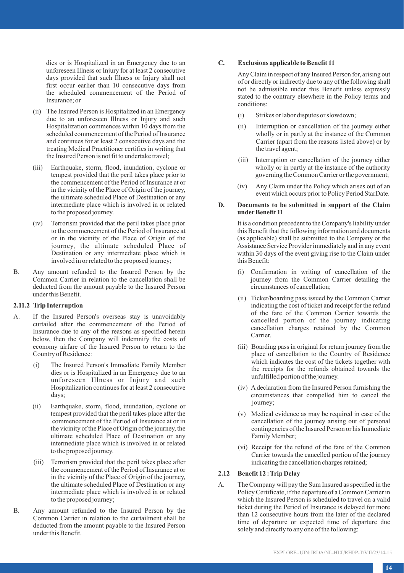dies or is Hospitalized in an Emergency due to an unforeseen Illness or Injury for at least 2 consecutive days provided that such Illness or Injury shall not first occur earlier than 10 consecutive days from the scheduled commencement of the Period of Insurance; or

- (ii) The Insured Person is Hospitalized in an Emergency due to an unforeseen Illness or Injury and such Hospitalization commences within 10 days from the scheduled commencement of the Period of Insurance and continues for at least 2 consecutive days and the treating Medical Practitioner certifies in writing that the Insured Person is not fit to undertake travel;
- (iii) Earthquake, storm, flood, inundation, cyclone or tempest provided that the peril takes place prior to the commencement of the Period of Insurance at or in the vicinity of the Place of Origin of the journey, the ultimate scheduled Place of Destination or any intermediate place which is involved in or related to the proposed journey.
- (iv) Terrorism provided that the peril takes place prior to the commencement of the Period of Insurance at or in the vicinity of the Place of Origin of the journey, the ultimate scheduled Place of Destination or any intermediate place which is involved in or related to the proposed journey;
- B. Any amount refunded to the Insured Person by the Common Carrier in relation to the cancellation shall be deducted from the amount payable to the Insured Person under this Benefit.

### **2.11.2 Trip Interruption**

- A. If the Insured Person's overseas stay is unavoidably curtailed after the commencement of the Period of Insurance due to any of the reasons as specified herein below, then the Company will indemnify the costs of economy airfare of the Insured Person to return to the Country of Residence:
	- (i) The Insured Person's Immediate Family Member dies or is Hospitalized in an Emergency due to an unforeseen Illness or Injury and such Hospitalization continues for at least 2 consecutive days;
	- (ii) Earthquake, storm, flood, inundation, cyclone or tempest provided that the peril takes place after the commencement of the Period of Insurance at or in the vicinity of the Place of Origin of the journey, the ultimate scheduled Place of Destination or any intermediate place which is involved in or related to the proposed journey.
	- (iii) Terrorism provided that the peril takes place after the commencement of the Period of Insurance at or in the vicinity of the Place of Origin of the journey, the ultimate scheduled Place of Destination or any intermediate place which is involved in or related to the proposed journey;
- B. Any amount refunded to the Insured Person by the Common Carrier in relation to the curtailment shall be deducted from the amount payable to the Insured Person under this Benefit.

#### **C. Exclusions applicable to Benefit 11**

Any Claim in respect of any Insured Person for, arising out of or directly or indirectly due to any of the following shall not be admissible under this Benefit unless expressly stated to the contrary elsewhere in the Policy terms and conditions:

- (i) Strikes or labor disputes or slowdown;
- (ii) Interruption or cancellation of the journey either wholly or in partly at the instance of the Common Carrier (apart from the reasons listed above) or by the travel agent;
- (iii) Interruption or cancellation of the journey either wholly or in partly at the instance of the authority governing the Common Carrier or the government;
- (iv) Any Claim under the Policy which arises out of an event which occurs prior to Policy Period StarDate.

### **D. Documents to be submitted in support of the Claim**  under Benefit 11

It is a condition precedent to the Company's liability under this Benefit that the following information and documents (as applicable) shall be submitted to the Company or the Assistance Service Provider immediately and in any event within 30 days of the event giving rise to the Claim under this Benefit:

- (i) Confirmation in writing of cancellation of the journey from the Common Carrier detailing the circumstances of cancellation;
- (ii) Ticket/boarding pass issued by the Common Carrier indicating the cost of ticket and receipt for the refund of the fare of the Common Carrier towards the cancelled portion of the journey indicating cancellation charges retained by the Common Carrier.
- (iii) Boarding pass in original for return journey from the place of cancellation to the Country of Residence which indicates the cost of the tickets together with the receipts for the refunds obtained towards the unfulfilled portion of the journey.
- (iv) Adeclaration from the Insured Person furnishing the circumstances that compelled him to cancel the journey;
- (v) Medical evidence as may be required in case of the cancellation of the journey arising out of personal contingencies of the Insured Person or his Immediate Family Member;
- (vi) Receipt for the refund of the fare of the Common Carrier towards the cancelled portion of the journey indicating the cancellation charges retained;

### **2.12 Benefit 12 : Trip Delay**

A. The Company will pay the Sum Insured as specified in the Policy Certificate, if the departure of a Common Carrier in which the Insured Person is scheduled to travel on a valid ticket during the Period of Insurance is delayed for more than 12 consecutive hours from the later of the declared time of departure or expected time of departure due solely and directly to any one of the following: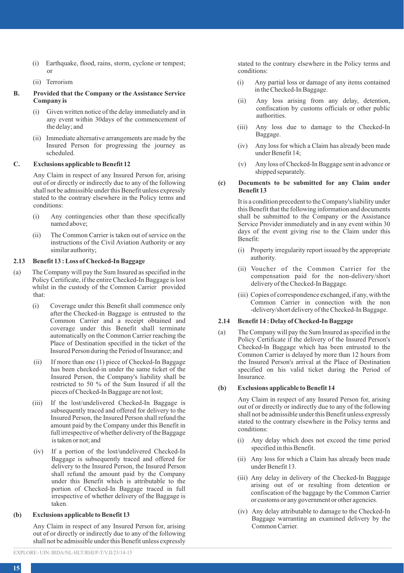- (i) Earthquake, flood, rains, storm, cyclone or tempest; or
- (ii) Terrorism

## **B. Provided that the Company or the Assistance Service Company is**

- (i) Given written notice of the delay immediately and in any event within 30days of the commencement of the delay; and
- (ii) Immediate alternative arrangements are made by the Insured Person for progressing the journey as scheduled.

## **C. Exclusions applicable to Benefit 12**

Any Claim in respect of any Insured Person for, arising out of or directly or indirectly due to any of the following shall not be admissible under this Benefit unless expressly stated to the contrary elsewhere in the Policy terms and conditions:

- (i) Any contingencies other than those specifically named above;
- (ii) The Common Carrier is taken out of service on the instructions of the Civil Aviation Authority or any similar authority;

### **2.13 Benefit 13 : Loss of Checked-In Baggage**

- (a) The Company will pay the Sum Insured as specified in the Policy Certificate, if the entire Checked-In Baggage is lost whilst in the custody of the Common Carrier provided that:
	- (i) Coverage under this Benefit shall commence only after the Checked-in Baggage is entrusted to the Common Carrier and a receipt obtained and coverage under this Benefit shall terminate automatically on the Common Carrier reaching the Place of Destination specified in the ticket of the Insured Person during the Period of Insurance; and
	- (ii) If more than one (1) piece of Checked-In Baggage has been checked-in under the same ticket of the Insured Person, the Company's liability shall be restricted to 50 % of the Sum Insured if all the pieces of Checked-In Baggage are not lost;
	- (iii) If the lost/undelivered Checked-In Baggage is subsequently traced and offered for delivery to the Insured Person, the Insured Person shall refund the amount paid by the Company under this Benefit in full irrespective of whether delivery of the Baggage is taken or not; and
	- (iv) If a portion of the lost/undelivered Checked-In Baggage is subsequently traced and offered for delivery to the Insured Person, the Insured Person shall refund the amount paid by the Company under this Benefit which is attributable to the portion of Checked-In Baggage traced in full irrespective of whether delivery of the Baggage is taken.

### **(b) Exclusions applicable to Benefit 13**

Any Claim in respect of any Insured Person for, arising out of or directly or indirectly due to any of the following shall not be admissible under this Benefit unless expressly stated to the contrary elsewhere in the Policy terms and conditions:

- (i) Any partial loss or damage of any items contained in the Checked-In Baggage.
- (ii) Any loss arising from any delay, detention, confiscation by customs officials or other public authorities.
- (iii) Any loss due to damage to the Checked-In Baggage.
- (iv) Any loss for which a Claim has already been made under Benefit 14;
- (v) Any loss of Checked-In Baggage sent in advance or shipped separately.

### **(c) Documents to be submitted for any Claim under Benefit 13**

It is a condition precedent to the Company's liability under this Benefit that the following information and documents shall be submitted to the Company or the Assistance Service Provider immediately and in any event within 30 days of the event giving rise to the Claim under this Benefit:

- (i) Property irregularity report issued by the appropriate authority.
- (ii) Voucher of the Common Carrier for the compensation paid for the non-delivery/short delivery of the Checked-In Baggage.
- (iii) Copies of correspondence exchanged, if any, with the Common Carrier in connection with the non -delivery/short delivery of the Checked-In Baggage.

## **2.14 Benefit 14 : Delay of Checked-In Baggage**

(a) The Company will pay the Sum Insured as specified in the Policy Certificate if the delivery of the Insured Person's Checked-In Baggage which has been entrusted to the Common Carrier is delayed by more than 12 hours from the Insured Person's arrival at the Place of Destination specified on his valid ticket during the Period of Insurance.

## **(b) Exclusions applicable to Benefit 14**

Any Claim in respect of any Insured Person for, arising out of or directly or indirectly due to any of the following shall not be admissible under this Benefit unless expressly stated to the contrary elsewhere in the Policy terms and conditions:

- (i) Any delay which does not exceed the time period specified in this Benefit.
- (ii) Any loss for which a Claim has already been made under Benefit 13.
- (iii) Any delay in delivery of the Checked-In Baggage arising out of or resulting from detention or confiscation of the baggage by the Common Carrier or customs or any government or other agencies.
- (iv) Any delay attributable to damage to the Checked-In Baggage warranting an examined delivery by the Common Carrier.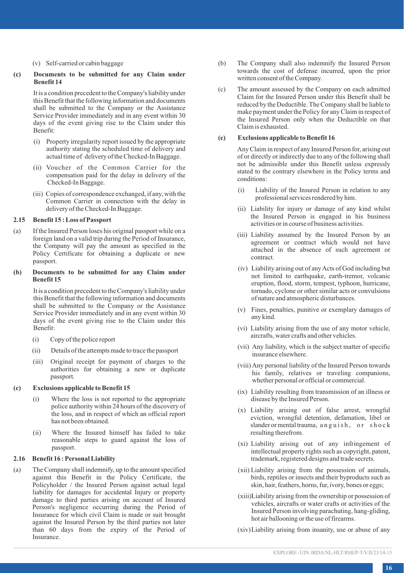### (v) Self-carried or cabin baggage

### **(c) Documents to be submitted for any Claim under Benefit 14**

It is a condition precedent to the Company's liability under this Benefit that the following information and documents shall be submitted to the Company or the Assistance Service Provider immediately and in any event within 30 days of the event giving rise to the Claim under this Benefit:

- (i) Property irregularity report issued by the appropriate authority stating the scheduled time of delivery and actual time of delivery of the Checked-In Baggage.
- (ii) Voucher of the Common Carrier for the compensation paid for the delay in delivery of the Checked-In Baggage.
- (iii) Copies of correspondence exchanged, if any, with the Common Carrier in connection with the delay in delivery of the Checked-In Baggage.

### **2.15 Benefit 15 : Loss of Passport**

(a) If the Insured Person loses his original passport while on a foreign land on a valid trip during the Period of Insurance, the Company will pay the amount as specified in the Policy Certificate for obtaining a duplicate or new passport.

### **(b) Documents to be submitted for any Claim under Benefit 15**

It is a condition precedent to the Company's liability under this Benefit that the following information and documents shall be submitted to the Company or the Assistance Service Provider immediately and in any event within 30 days of the event giving rise to the Claim under this Benefit:

- (i) Copy of the police report
- (ii) Details of the attempts made to trace the passport
- (iii) Original receipt for payment of charges to the authorities for obtaining a new or duplicate passport.

### **(c) Exclusions applicable to Benefit 15**

- (i) Where the loss is not reported to the appropriate police authority within 24 hours of the discovery of the loss, and in respect of which an official report has not been obtained.
- (ii) Where the Insured himself has failed to take reasonable steps to guard against the loss of passport.

### **2.16 Benefit 16 : Personal Liability**

(a) The Company shall indemnify, up to the amount specified against this Benefit in the Policy Certificate, the Policyholder / the Insured Person against actual legal liability for damages for accidental Injury or property damage to third parties arising on account of Insured Person's negligence occurring during the Period of Insurance for which civil Claim is made or suit brought against the Insured Person by the third parties not later than 60 days from the expiry of the Period of Insurance.

- (b) The Company shall also indemnify the Insured Person towards the cost of defense incurred, upon the prior written consent of the Company.
- (c) The amount assessed by the Company on each admitted Claim for the Insured Person under this Benefit shall be reduced by the Deductible. The Company shall be liable to make payment under the Policy for any Claim in respect of the Insured Person only when the Deductible on that Claim is exhausted.

## **(c) Exclusions applicable to Benefit 16**

Any Claim in respect of any Insured Person for, arising out of or directly or indirectly due to any of the following shall not be admissible under this Benefit unless expressly stated to the contrary elsewhere in the Policy terms and conditions:

- (i) Liability of the Insured Person in relation to any professional services rendered by him.
- (ii) Liability for injury or damage of any kind whilst the Insured Person is engaged in his business activities or in course of business activities.
- (iii) Liability assumed by the Insured Person by an agreement or contract which would not have attached in the absence of such agreement or contract.
- (iv) Liability arising out of any Acts of God including but not limited to earthquake, earth-tremor, volcanic eruption, flood, storm, tempest, typhoon, hurricane, tornado, cyclone or other similar acts or convulsions of nature and atmospheric disturbances.
- (v) Fines, penalties, punitive or exemplary damages of any kind.
- (vi) Liability arising from the use of any motor vehicle, aircrafts, water crafts and other vehicles.
- (vii) Any liability, which is the subject matter of specific insurance elsewhere.
- (viii) Any personal liability of the Insured Person towards his family, relatives or traveling companions, whether personal or official or commercial.
- (ix) Liability resulting from transmission of an illness or disease by the Insured Person.
- (x) Liability arising out of false arrest, wrongful eviction, wrongful detention, defamation, libel or slander or mental trauma, an guish, or shock resulting therefrom.
- (xi) Liability arising out of any infringement of intellectual property rights such as copyright, patent, trademark, registered designs and trade secrets.
- (xii) Liability arising from the possession of animals, birds, reptiles or insects and their byproducts such as skin, hair, feathers, horns, fur, ivory, bones or eggs;
- (xiii)Liability arising from the ownership or possession of vehicles, aircrafts or water crafts or activities of the Insured Person involving parachuting, hang-gliding, hot air ballooning or the use of firearms.
- (xiv) Liability arising from insanity, use or abuse of any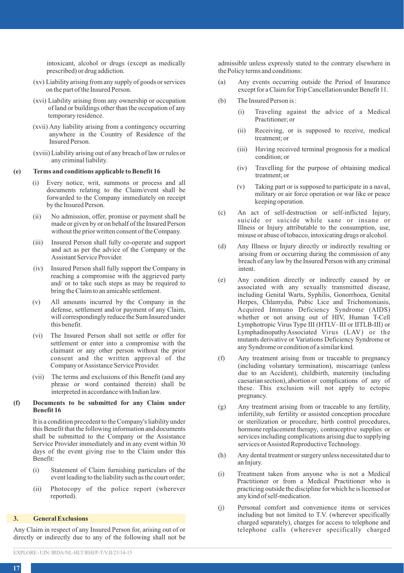intoxicant, alcohol or drugs (except as medically prescribed) or drug addiction.

- (xv) Liability arising from any supply of goods or services on the part of the Insured Person.
- (xvi) Liability arising from any ownership or occupation of land or buildings other than the occupation of any temporary residence.
- (xvii) Any liability arising from a contingency occurring anywhere in the Country of Residence of the Insured Person.
- (xviii) Liability arising out of any breach of law or rules or any criminal liability.

#### **(e) Terms and conditions applicable to Benefit 16**

- (i) Every notice, writ, summons or process and all documents relating to the Claim/event shall be forwarded to the Company immediately on receipt by the Insured Person.
- (ii) No admission, offer, promise or payment shall be made or given by or on behalf of the Insured Person without the prior written consent of the Company.
- (iii) Insured Person shall fully co-operate and support and act as per the advice of the Company or the Assistant Service Provider.
- (iv) Insured Person shall fully support the Company in reaching a compromise with the aggrieved party and/ or to take such steps as may be required to bring the Claim to an amicable settlement.
- (v) All amounts incurred by the Company in the defense, settlement and/or payment of any Claim, will correspondingly reduce the Sum Insured under this benefit.
- (vi) The Insured Person shall not settle or offer for settlement or enter into a compromise with the claimant or any other person without the prior consent and the written approval of the Company or Assistance Service Provider.
- (vii) The terms and exclusions of this Benefit (and any phrase or word contained therein) shall be interpreted in accordance with Indian law.

### **(f) Documents to be submitted for any Claim under Benefit 16**

It is a condition precedent to the Company's liability under this Benefit that the following information and documents shall be submitted to the Company or the Assistance Service Provider immediately and in any event within 30 days of the event giving rise to the Claim under this Benefit:

- (i) Statement of Claim furnishing particulars of the event leading to the liability such as the court order;
- (ii) Photocopy of the police report (wherever reported).

### **3. General Exclusions**

Any Claim in respect of any Insured Person for, arising out of or directly or indirectly due to any of the following shall not be admissible unless expressly stated to the contrary elsewhere in the Policy terms and conditions:

- (a) Any events occurring outside the Period of Insurance except for a Claim for Trip Cancellation under Benefit 11.
- (b) The Insured Person is :
	- (i) Traveling against the advice of a Medical Practitioner; or
	- (ii) Receiving, or is supposed to receive, medical treatment; or
	- (iii) Having received terminal prognosis for a medical condition; or
	- (iv) Travelling for the purpose of obtaining medical treatment; or
	- (v) Taking part or is supposed to participate in a naval, military or air force operation or war like or peace keeping operation.
- (c) An act of self-destruction or self-inflicted Injury, suicide or suicide while sane or insane or Illness or Injury attributable to the consumption, use, misuse or abuse of tobacco, intoxicating drugs or alcohol.
- (d) Any Illness or Injury directly or indirectly resulting or arising from or occurring during the commission of any breach of any law by the Insured Person with any criminal intent.
- (e) Any condition directly or indirectly caused by or associated with any sexually transmitted disease, including Genital Warts, Syphilis, Gonorrhoea, Genital Herpes, Chlamydia, Pubic Lice and Trichomoniasis, Acquired Immuno Deficiency Syndrome (AIDS) whether or not arising out of HIV, Human T-Cell Lymphotropic Virus Type III (HTLV–III or IITLB-III) or Lymphadinopathy Associated Virus (LAV) or the mutants derivative or Variations Deficiency Syndrome or any Syndrome or condition of a similar kind.
- (f) Any treatment arising from or traceable to pregnancy (including voluntary termination), miscarriage (unless due to an Accident), childbirth, maternity (including caesarian section), abortion or complications of any of these. This exclusion will not apply to ectopic pregnancy.
- (g) Any treatment arising from or traceable to any fertility, infertility, sub fertility or assisted conception procedure or sterilization or procedure, birth control procedures, hormone replacement therapy, contraceptive supplies or services including complications arising due to supplying services or Assisted Reproductive Technology.
- (h) Any dental treatment or surgery unless necessitated due to an Injury.
- (i) Treatment taken from anyone who is not a Medical Practitioner or from a Medical Practitioner who is practicing outside the discipline for which he is licensed or any kind of self-medication.
- (j) Personal comfort and convenience items or services including but not limited to T.V. (wherever specifically charged separately), charges for access to telephone and telephone calls (wherever specifically charged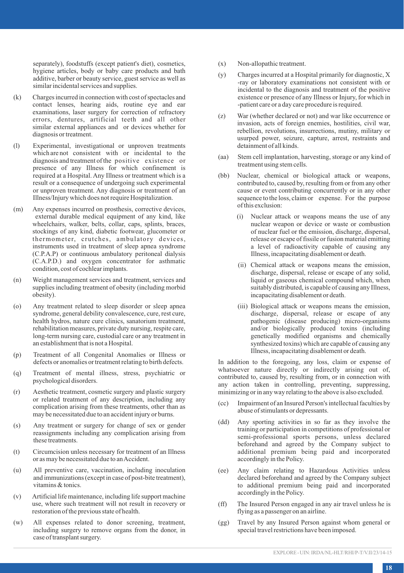separately), foodstuffs (except patient's diet), cosmetics, hygiene articles, body or baby care products and bath additive, barber or beauty service, guest service as well as similar incidental services and supplies.

- (k) Charges incurred in connection with cost of spectacles and contact lenses, hearing aids, routine eye and ear examinations, laser surgery for correction of refractory errors, dentures, artificial teeth and all other similar external appliances and or devices whether for diagnosis or treatment.
- (l) Experimental, investigational or unproven treatments which are not consistent with or incidental to the diagnosis and treatment of the positive existence or presence of any Illness for which confinement is required at a Hospital. Any Illness or treatment which is a result or a consequence of undergoing such experimental or unproven treatment. Any diagnosis or treatment of an Illness/Injury which does not require Hospitalization.
- (m) Any expenses incurred on prosthesis, corrective devices, external durable medical equipment of any kind, like wheelchairs, walker, belts, collar, caps, splints, braces, stockings of any kind, diabetic footwear, glucometer or thermometer, crutches, ambulatory devices, instruments used in treatment of sleep apnea syndrome (C.P.A.P) or continuous ambulatory peritoneal dialysis (C.A.P.D.) and oxygen concentrator for asthmatic condition, cost of cochlear implants.
- (n) Weight management services and treatment, services and supplies including treatment of obesity (including morbid obesity).
- (o) Any treatment related to sleep disorder or sleep apnea syndrome, general debility convalescence, cure, rest cure, health hydros, nature cure clinics, sanatorium treatment, rehabilitation measures, private duty nursing, respite care, long-term nursing care, custodial care or any treatment in an establishment that is not a Hospital.
- (p) Treatment of all Congenital Anomalies or Illness or defects or anomalies or treatment relating to birth defects.
- (q) Treatment of mental illness, stress, psychiatric or psychological disorders.
- (r) Aesthetic treatment, cosmetic surgery and plastic surgery or related treatment of any description, including any complication arising from these treatments, other than as may be necessitated due to an accident injury or burns.
- (s) Any treatment or surgery for change of sex or gender reassignments including any complication arising from these treatments.
- (t) Circumcision unless necessary for treatment of an Illness or as may be necessitated due to an Accident.
- (u) All preventive care, vaccination, including inoculation and immunizations (except in case of post-bite treatment), vitamins & tonics.
- (v) Artificial life maintenance, including life support machine use, where such treatment will not result in recovery or restoration of the previous state of health.
- (w) All expenses related to donor screening, treatment, including surgery to remove organs from the donor, in case of transplant surgery.
- (x) Non-allopathic treatment.
- (y) Charges incurred at a Hospital primarily for diagnostic, X -ray or laboratory examinations not consistent with or incidental to the diagnosis and treatment of the positive existence or presence of any Illness or Injury, for which in -patient care or a day care procedure is required.
- (z) War (whether declared or not) and war like occurrence or invasion, acts of foreign enemies, hostilities, civil war, rebellion, revolutions, insurrections, mutiny, military or usurped power, seizure, capture, arrest, restraints and detainment of all kinds.
- (aa) Stem cell implantation, harvesting, storage or any kind of treatment using stem cells.
- (bb) Nuclear, chemical or biological attack or weapons, contributed to, caused by, resulting from or from any other cause or event contributing concurrently or in any other sequence to the loss, claim or expense. For the purpose of this exclusion:
	- (i) Nuclear attack or weapons means the use of any nuclear weapon or device or waste or combustion of nuclear fuel or the emission, discharge, dispersal, release or escape of fissile or fusion material emitting a level of radioactivity capable of causing any Illness, incapacitating disablement or death.
	- (ii) Chemical attack or weapons means the emission, discharge, dispersal, release or escape of any solid, liquid or gaseous chemical compound which, when suitably distributed, is capable of causing any Illness, incapacitating disablement or death.
	- (iii) Biological attack or weapons means the emission, discharge, dispersal, release or escape of any pathogenic (disease producing) micro-organisms and/or biologically produced toxins (including genetically modified organisms and chemically synthesized toxins) which are capable of causing any Illness, incapacitating disablement or death.

In addition to the foregoing, any loss, claim or expense of whatsoever nature directly or indirectly arising out of, contributed to, caused by, resulting from, or in connection with any action taken in controlling, preventing, suppressing, minimizing or in any way relating to the above is also excluded.

- (cc) Impairment of an Insured Person's intellectual faculties by abuse of stimulants or depressants.
- (dd) Any sporting activities in so far as they involve the training or participation in competitions of professional or semi-professional sports persons, unless declared beforehand and agreed by the Company subject to additional premium being paid and incorporated accordingly in the Policy.
- (ee) Any claim relating to Hazardous Activities unless declared beforehand and agreed by the Company subject to additional premium being paid and incorporated accordingly in the Policy.
- (ff) The Insured Person engaged in any air travel unless he is flying as a passenger on an airline.
- (gg) Travel by any Insured Person against whom general or special travel restrictions have been imposed.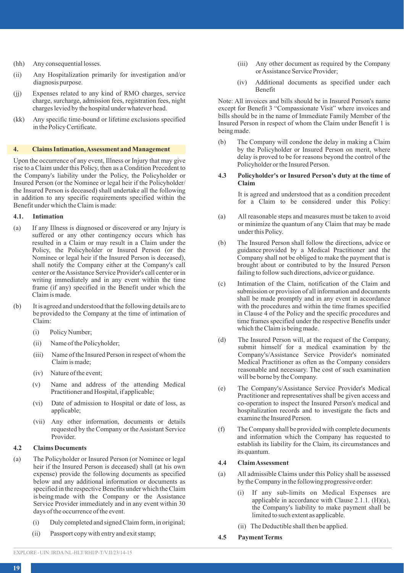- (hh) Any consequential losses.
- (ii) Any Hospitalization primarily for investigation and/or diagnosis purpose.
- (ii) Expenses related to any kind of RMO charges, service charge, surcharge, admission fees, registration fees, night charges levied by the hospital under whatever head.
- (kk) Any specific time-bound or lifetime exclusions specified in the Policy Certificate.

#### **4. Claims Intimation, Assessment and Management**

Upon the occurrence of any event, Illness or Injury that may give rise to a Claim under this Policy, then as a Condition Precedent to the Company's liability under the Policy, the Policyholder or Insured Person (or the Nominee or legal heir if the Policyholder/ the Insured Person is deceased) shall undertake all the following in addition to any specific requirements specified within the Benefit under which the Claim is made:

## **4.1. Intimation**

- (a) If any Illness is diagnosed or discovered or any Injury is suffered or any other contingency occurs which has resulted in a Claim or may result in a Claim under the Policy, the Policyholder or Insured Person (or the Nominee or legal heir if the Insured Person is deceased), shall notify the Company either at the Company's call center or the Assistance Service Provider's call center or in writing immediately and in any event within the time frame (if any) specified in the Benefit under which the Claim is made.
- (b) It is agreed and understood that the following details are to be provided to the Company at the time of intimation of Claim:
	- (i) Policy Number;
	- (ii) Name of the Policyholder;
	- (iii) Name of the Insured Person in respect of whom the Claim is made;
	- (iv) Nature of the event;
	- (v) Name and address of the attending Medical Practitioner and Hospital, if applicable;
	- (vi) Date of admission to Hospital or date of loss, as applicable;
	- (vii) Any other information, documents or details requested by the Company or the Assistant Service Provider.

## **4.2 Claims Documents**

- (a) The Policyholder or Insured Person (or Nominee or legal heir if the Insured Person is deceased) shall (at his own expense) provide the following documents as specified below and any additional information or documents as specified in the respective Benefits under which the Claim is being made with the Company or the Assistance Service Provider immediately and in any event within 30 days of the occurrence of the event.
	- (i) Duly completed and signed Claim form, in original;
	- (ii) Passport copy with entry and exit stamp;
- (iii) Any other document as required by the Company or Assistance Service Provider;
- (iv) Additional documents as specified under each Benefit

Note: All invoices and bills should be in Insured Person's name except for Benefit 3 "Compassionate Visit" where invoices and bills should be in the name of Immediate Family Member of the Insured Person in respect of whom the Claim under Benefit 1 is being made.

(b) The Company will condone the delay in making a Claim by the Policyholder or Insured Person on merit, where delay is proved to be for reasons beyond the control of the Policyholder or the Insured Person.

### **4.3 Policyholder's or Insured Person's duty at the time of Claim**

It is agreed and understood that as a condition precedent for a Claim to be considered under this Policy:

- (a) All reasonable steps and measures must be taken to avoid or minimize the quantum of any Claim that may be made under this Policy.
- (b) The Insured Person shall follow the directions, advice or guidance provided by a Medical Practitioner and the Company shall not be obliged to make the payment that is brought about or contributed to by the Insured Person failing to follow such directions, advice or guidance.
- (c) Intimation of the Claim, notification of the Claim and submission or provision of all information and documents shall be made promptly and in any event in accordance with the procedures and within the time frames specified in Clause 4 of the Policy and the specific procedures and time frames specified under the respective Benefits under which the Claim is being made.
- (d) The Insured Person will, at the request of the Company, submit himself for a medical examination by the Company's/Assistance Service Provider's nominated Medical Practitioner as often as the Company considers reasonable and necessary. The cost of such examination will be borne by the Company.
- (e) The Company's/Assistance Service Provider's Medical Practitioner and representatives shall be given access and co-operation to inspect the Insured Person's medical and hospitalization records and to investigate the facts and examine the Insured Person.
- (f) The Company shall be provided with complete documents and information which the Company has requested to establish its liability for the Claim, its circumstances and its quantum.

## **4.4 Claim Assessment**

- (a) All admissible Claims under this Policy shall be assessed by the Company in the following progressive order:
	- (i) If any sub-limits on Medical Expenses are applicable in accordance with Clause 2.1.1. (H)(a), the Company's liability to make payment shall be limited to such extent as applicable.
	- (ii) The Deductible shall then be applied.
- **4.5 Payment Terms**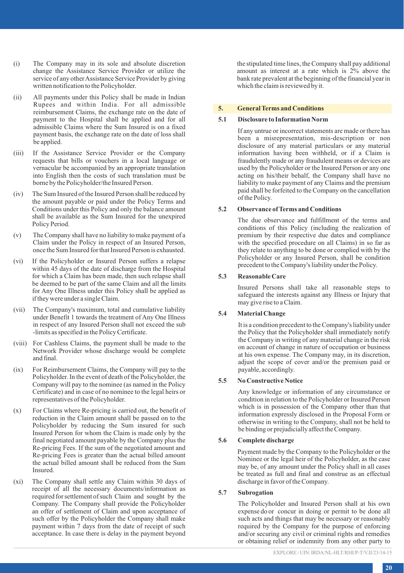- (i) The Company may in its sole and absolute discretion change the Assistance Service Provider or utilize the service of any other Assistance Service Provider by giving written notification to the Policyholder.
- (ii) All payments under this Policy shall be made in Indian Rupees and within India. For all admissible reimbursement Claims, the exchange rate on the date of payment to the Hospital shall be applied and for all admissible Claims where the Sum Insured is on a fixed payment basis, the exchange rate on the date of loss shall be applied.
- (iii) If the Assistance Service Provider or the Company requests that bills or vouchers in a local language or vernacular be accompanied by an appropriate translation into English then the costs of such translation must be borne by the Policyholder/the Insured Person.
- (iv) The Sum Insured of the Insured Person shall be reduced by the amount payable or paid under the Policy Terms and Conditions under this Policy and only the balance amount shall be available as the Sum Insured for the unexpired Policy Period.
- (v) The Company shall have no liability to make payment of a Claim under the Policy in respect of an Insured Person, once the Sum Insured for that Insured Person is exhausted.
- (vi) If the Policyholder or Insured Person suffers a relapse within 45 days of the date of discharge from the Hospital for which a Claim has been made, then such relapse shall be deemed to be part of the same Claim and all the limits for Any One Illness under this Policy shall be applied as if they were under a single Claim.
- (vii) The Company's maximum, total and cumulative liability under Benefit 1 towards the treatment of Any One Illness in respect of any Insured Person shall not exceed the sub -limits as specified in the Policy Certificate.
- (viii) For Cashless Claims, the payment shall be made to the Network Provider whose discharge would be complete and final.
- (ix) For Reimbursement Claims, the Company will pay to the Policyholder. In the event of death of the Policyholder, the Company will pay to the nominee (as named in the Policy Certificate) and in case of no nominee to the legal heirs or representatives of the Policyholder.
- (x) For Claims where Re-pricing is carried out, the benefit of reduction in the Claim amount shall be passed on to the Policyholder by reducing the Sum insured for such Insured Person for whom the Claim is made only by the final negotiated amount payable by the Company plus the Re-pricing Fees. If the sum of the negotiated amount and Re-pricing Fees is greater than the actual billed amount the actual billed amount shall be reduced from the Sum Insured.
- (xi) The Company shall settle any Claim within 30 days of receipt of all the necessary documents/information as required for settlement of such Claim and sought by the Company. The Company shall provide the Policyholder an offer of settlement of Claim and upon acceptance of such offer by the Policyholder the Company shall make payment within 7 days from the date of receipt of such acceptance. In case there is delay in the payment beyond

the stipulated time lines, the Company shall pay additional amount as interest at a rate which is 2% above the bank rate prevalent at the beginning of the financial year in which the claim is reviewed by it.

## **5. General Terms and Conditions**

### **5.1 Disclosure to Information Norm**

If any untrue or incorrect statements are made or there has been a misrepresentation, mis-description or non disclosure of any material particulars or any material information having been withheld, or if a Claim is fraudulently made or any fraudulent means or devices are used by the Policyholder or the Insured Person or any one acting on his/their behalf, the Company shall have no liability to make payment of any Claims and the premium paid shall be forfeited to the Company on the cancellation of the Policy.

## **5.2 Observance of Terms and Conditions**

The due observance and fulfillment of the terms and conditions of this Policy (including the realization of premium by their respective due dates and compliance with the specified procedure on all Claims) in so far as they relate to anything to be done or complied with by the Policyholder or any Insured Person, shall be condition precedent to the Company's liability under the Policy.

#### **5.3 Reasonable Care**

Insured Persons shall take all reasonable steps to safeguard the interests against any Illness or Injury that may give rise to a Claim.

## **5.4 Material Change**

It is a condition precedent to the Company's liability under the Policy that the Policyholder shall immediately notify the Company in writing of any material change in the risk on account of change in nature of occupation or business at his own expense. The Company may, in its discretion, adjust the scope of cover and/or the premium paid or payable, accordingly.

#### **5.5 No Constructive Notice**

Any knowledge or information of any circumstance or condition in relation to the Policyholder or Insured Person which is in possession of the Company other than that information expressly disclosed in the Proposal Form or otherwise in writing to the Company, shall not be held to be binding or prejudicially affect the Company.

## **5.6 Complete discharge**

Payment made by the Company to the Policyholder or the Nominee or the legal heir of the Policyholder, as the case may be, of any amount under the Policy shall in all cases be treated as full and final and construe as an effectual discharge in favor of the Company.

## **5.7 Subrogation**

The Policyholder and Insured Person shall at his own expense do or concur in doing or permit to be done all such acts and things that may be necessary or reasonably required by the Company for the purpose of enforcing and/or securing any civil or criminal rights and remedies or obtaining relief or indemnity from any other party to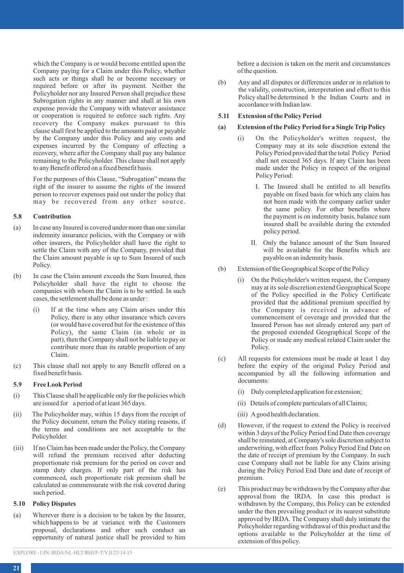which the Company is or would become entitled upon the Company paying for a Claim under this Policy, whether such acts or things shall be or become necessary or required before or after its payment. Neither the Policyholder nor any Insured Person shall prejudice these Subrogation rights in any manner and shall at his own expense provide the Company with whatever assistance or cooperation is required to enforce such rights. Any recovery the Company makes pursuant to this clause shall first be applied to the amounts paid or payable by the Company under this Policy and any costs and expenses incurred by the Company of effecting a recovery, where after the Company shall pay any balance remaining to the Policyholder. This clause shall not apply to any Benefit offered on a fixed benefit basis.

For the purposes of this Clause, "Subrogation" means the right of the insurer to assume the rights of the insured person to recover expenses paid out under the policy that may be recovered from any other source.

### **5.8 Contribution**

- (a) In case any Insured is covered under more than one similar indemnity insurance policies, with the Company or with other insurers, the Policyholder shall have the right to settle the Claim with any of the Company, provided that the Claim amount payable is up to Sum Insured of such Policy.
- (b) In case the Claim amount exceeds the Sum Insured, then Policyholder shall have the right to choose the companies with whom the Claim is to be settled. In such cases, the settlement shall be done as under :
	- (i) If at the time when any Claim arises under this Policy, there is any other insurance which covers (or would have covered but for the existence of this Policy), the same Claim (in whole or in part), then the Company shall not be liable to pay or contribute more than its ratable proportion of any Claim.
- (c) This clause shall not apply to any Benefit offered on a fixed benefit basis.

## **5.9 Free Look Period**

- (i) This Clause shall be applicable only for the policies which are issued for a period of at least 365 days.
- (ii) The Policyholder may, within 15 days from the receipt of the Policy document, return the Policy stating reasons, if the terms and conditions are not acceptable to the Policyholder.
- (iii) If no Claim has been made under the Policy, the Company will refund the premium received after deducting proportionate risk premium for the period on cover and stamp duty charges. If only part of the risk has commenced, such proportionate risk premium shall be calculated as commensurate with the risk covered during such period.

## **5.10 Policy Disputes**

(a) Wherever there is a decision to be taken by the Insurer, which happens to be at variance with the Customers proposal, declarations and other such conduct an opportunity of natural justice shall be provided to him before a decision is taken on the merit and circumstances of the question.

(b) Any and all disputes or differences under or in relation to the validity, construction, interpretation and effect to this Policy shall be determined b the Indian Courts and in accordance with Indian law.

# **5.11 Extension of the Policy Period**

# **(a) Extension of the Policy Period for a Single Trip Policy**

- (i) On the Policyholder's written request, the Company may at its sole discretion extend the Policy Period provided that the total Policy Period shall not exceed 365 days. If any Claim has been made under the Policy in respect of the original Policy Period:
	- I. The Insured shall be entitled to all benefits payable on fixed basis for which any claim has not been made with the company earlier under the same policy. For other benefits where the payment is on indemnity basis, balance sum insured shall be available during the extended policy period.
	- II. Only the balance amount of the Sum Insured will be available for the Benefits which are payable on an indemnity basis.
- (b) Extension of the Geographical Scope of the Policy
	- (i) On the Policyholder's written request, the Company may at its sole discretion extend Geographical Scope of the Policy specified in the Policy Certificate provided that the additional premium specified by the Company is received in advance of commencement of coverage and provided that the Insured Person has not already entered any part of the proposed extended Geographical Scope of the Policy or made any medical related Claim under the Policy.
- (c) All requests for extensions must be made at least 1 day before the expiry of the original Policy Period and accompanied by all the following information and documents:
	- (i) Duly completed application for extension;
	- (ii) Details of complete particulars of all Claims;
	- (iii) Agood health declaration.
- (d) However, if the request to extend the Policy is received within 3 days of the Policy Period End Date then coverage shall be reinstated, at Company's sole discretion subject to underwriting, with effect from Policy Period End Date on the date of receipt of premium by the Company. In such case Company shall not be liable for any Claim arising during the Policy Period End Date and date of receipt of premium.
- (e) This product may be withdrawn by the Company after due approval from the IRDA. In case this product is withdrawn by the Company, this Policy can be extended under the then prevailing product or its nearest substitute approved by IRDA. The Company shall duly intimate the Policyholder regarding withdrawal of this product and the options available to the Policyholder at the time of extension of this policy.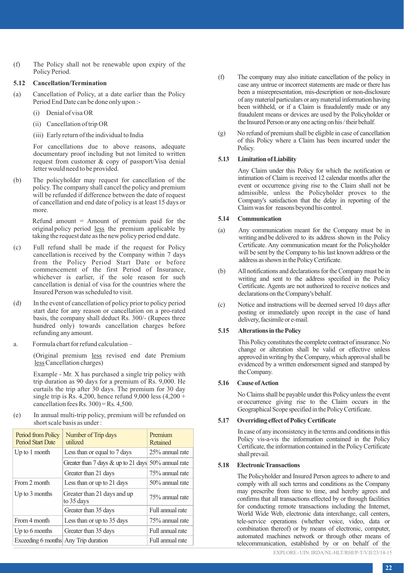(f) The Policy shall not be renewable upon expiry of the Policy Period.

### **5.12 Cancellation/Termination**

- (a) Cancellation of Policy, at a date earlier than the Policy Period End Date can be done only upon :-
	- (i) Denial of visa OR
	- (ii) Cancellation of trip OR
	- (iii) Early return of the individual to India

For cancellations due to above reasons, adequate documentary proof including but not limited to written request from customer & copy of passport/Visa denial letter would need to be provided.

(b) The policyholder may request for cancellation of the policy. The company shall cancel the policy and premium will be refunded if difference between the date of request of cancellation and end date of policy is at least 15 days or more.

> Refund amount  $=$  Amount of premium paid for the original policy period less the premium applicable by taking the request date as the new policy period end date.

- (c) Full refund shall be made if the request for Policy cancellation is received by the Company within 7 days from the Policy Period Start Date or before commencement of the first Period of Insurance, whichever is earlier, if the sole reason for such cancellation is denial of visa for the countries where the Insured Person was scheduled to visit.
- (d) In the event of cancellation of policy prior to policy period start date for any reason or cancellation on a pro-rated basis, the company shall deduct Rs. 300/- (Rupees three hundred only) towards cancellation charges before refunding any amount.
- a. Formula chart for refund calculation –

(Original premium less revised end date Premium less Cancellation charges)

Example - Mr. X has purchased a single trip policy with trip duration as 90 days for a premium of Rs. 9,000. He curtails the trip after 30 days. The premium for 30 day single trip is Rs. 4,200, hence refund  $9,000$  less  $(4,200 +$ cancellation fees Rs.  $300$ ) = Rs.  $4,500$ .

(e) In annual multi-trip policy, premium will be refunded on short scale basis as under :

| Period from Policy<br>Period Start Date | Number of Trip days<br>utilized                     | Premium<br>Retained |
|-----------------------------------------|-----------------------------------------------------|---------------------|
| Up to 1 month                           | Less than or equal to 7 days                        | 25% annual rate     |
|                                         | Greater than 7 days & up to 21 days 50% annual rate |                     |
|                                         | Greater than 21 days                                | 75% annual rate     |
| From 2 month                            | Less than or up to 21 days                          | 50% annual rate     |
| Up to $3$ months                        | Greater than 21 days and up<br>to 35 days           | 75% annual rate     |
|                                         | Greater than 35 days                                | Full annual rate    |
| From 4 month                            | Less than or up to 35 days                          | 75% annual rate     |
| Up to 6 months                          | Greater than 35 days                                | Full annual rate    |
| Exceeding 6 months Any Trip duration    |                                                     | Full annual rate    |

- (f) The company may also initiate cancellation of the policy in case any untrue or incorrect statements are made or there has been a misrepresentation, mis-description or non-disclosure of any material particulars or any material information having been withheld, or if a Claim is fraudulently made or any fraudulent means or devices are used by the Policyholder or the Insured Person or any one acting on his / their behalf.
- (g) No refund of premium shall be eligible in case of cancellation of this Policy where a Claim has been incurred under the Policy.

### **5.13 Limitation of Liability**

Any Claim under this Policy for which the notification or intimation of Claim is received 12 calendar months after the event or occurrence giving rise to the Claim shall not be admissible, unless the Policyholder proves to the Company's satisfaction that the delay in reporting of the Claim was for reasons beyond his control.

### **5.14 Communication**

- (a) Any communication meant for the Company must be in writing and be delivered to its address shown in the Policy Certificate. Any communication meant for the Policyholder will be sent by the Company to his last known address or the address as shown in the Policy Certificate.
- (b) All notifications and declarations for the Company must be in writing and sent to the address specified in the Policy Certificate. Agents are not authorized to receive notices and declarations on the Company's behalf.
- (c) Notice and instructions will be deemed served 10 days after posting or immediately upon receipt in the case of hand delivery, facsimile or e-mail.

### **5.15 Alterations in the Policy**

This Policy constitutes the complete contract of insurance. No change or alteration shall be valid or effective unless approved in writing by the Company, which approval shall be evidenced by a written endorsement signed and stamped by the Company.

### **5.16 Cause of Action**

No Claims shall be payable under this Policy unless the event or occurrence giving rise to the Claim occurs in the Geographical Scope specified in the Policy Certificate.

## **5.17 Overriding effect of Policy Certificate**

In case of any inconsistency in the terms and conditions in this Policy vis-a-vis the information contained in the Policy Certificate, the information contained in the Policy Certificate shall prevail.

### **5.18 Electronic Transactions**

The Policyholder and Insured Person agrees to adhere to and comply with all such terms and conditions as the Company may prescribe from time to time, and hereby agrees and confirms that all transactions effected by or through facilities for conducting remote transactions including the Internet, World Wide Web, electronic data interchange, call centers, tele-service operations (whether voice, video, data or combination thereof) or by means of electronic, computer, automated machines network or through other means of telecommunication, established by or on behalf of the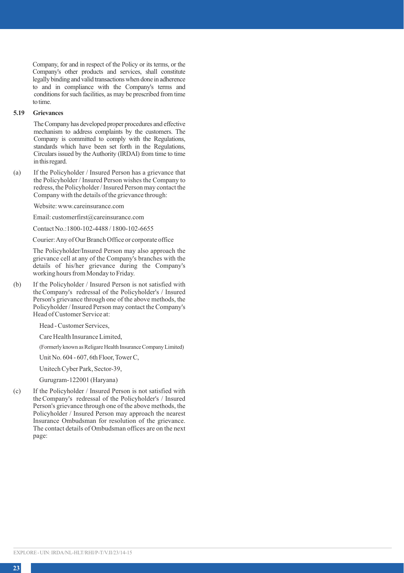Company, for and in respect of the Policy or its terms, or the Company's other products and services, shall constitute legally binding and valid transactions when done in adherence to and in compliance with the Company's terms and conditions for such facilities, as may be prescribed from time to time.

## **5.19 Grievances**

The Company has developed proper procedures and effective mechanism to address complaints by the customers. The Company is committed to comply with the Regulations, standards which have been set forth in the Regulations, Circulars issued by the Authority (IRDAI) from time to time in this regard.

(a) If the Policyholder / Insured Person has a grievance that the Policyholder / Insured Person wishes the Company to redress, the Policyholder / Insured Person may contact the Company with the details of the grievance through:

Website: www.careinsurance.com

Email: customerfirst@careinsurance.com

Contact No.:1800-102-4488 / 1800-102-6655

Courier: Any of Our Branch Office or corporate office

The Policyholder/Insured Person may also approach the grievance cell at any of the Company's branches with the details of his/her grievance during the Company's working hours from Monday to Friday.

(b) If the Policyholder / Insured Person is not satisfied with the Company's redressal of the Policyholder's / Insured Person's grievance through one of the above methods, the Policyholder / Insured Person may contact the Company's Head of Customer Service at:

Head - Customer Services,

Care Health Insurance Limited,

(Formerly known as Religare Health Insurance Company Limited)

Unit No. 604 - 607, 6th Floor, Tower C,

Unitech Cyber Park, Sector-39,

Gurugram-122001 (Haryana)

(c) If the Policyholder / Insured Person is not satisfied with the Company's redressal of the Policyholder's / Insured Person's grievance through one of the above methods, the Policyholder / Insured Person may approach the nearest Insurance Ombudsman for resolution of the grievance. The contact details of Ombudsman offices are on the next page: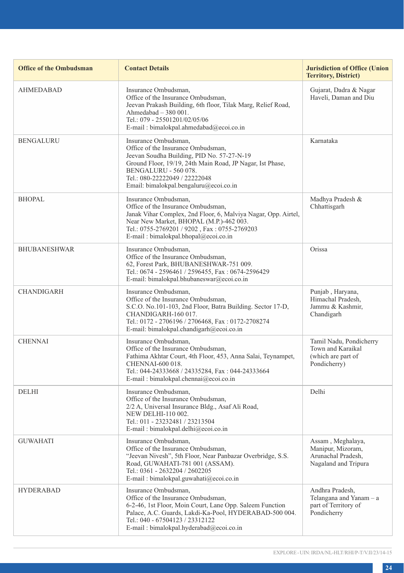| <b>Office of the Ombudsman</b> | <b>Contact Details</b>                                                                                                                                                                                                                                                   | <b>Jurisdiction of Office (Union</b><br><b>Territory, District)</b>                  |
|--------------------------------|--------------------------------------------------------------------------------------------------------------------------------------------------------------------------------------------------------------------------------------------------------------------------|--------------------------------------------------------------------------------------|
| <b>AHMEDABAD</b>               | Insurance Ombudsman.<br>Office of the Insurance Ombudsman,<br>Jeevan Prakash Building, 6th floor, Tilak Marg, Relief Road,<br>Ahmedabad $-380001$ .<br>Tel.: 079 - 25501201/02/05/06<br>E-mail: bimalokpal.ahmedabad@ecoi.co.in                                          | Gujarat, Dadra & Nagar<br>Haveli, Daman and Diu                                      |
| <b>BENGALURU</b>               | Insurance Ombudsman,<br>Office of the Insurance Ombudsman,<br>Jeevan Soudha Building, PID No. 57-27-N-19<br>Ground Floor, 19/19, 24th Main Road, JP Nagar, Ist Phase,<br>BENGALURU - 560 078.<br>Tel.: 080-22222049 / 22222048<br>Email: bimalokpal.bengaluru@ecoi.co.in | Karnataka                                                                            |
| BHOPAL                         | Insurance Ombudsman.<br>Office of the Insurance Ombudsman.<br>Janak Vihar Complex, 2nd Floor, 6, Malviya Nagar, Opp. Airtel,<br>Near New Market, BHOPAL (M.P.)-462 003.<br>Tel.: 0755-2769201 / 9202, Fax: 0755-2769203<br>E-mail: bimalokpal.bhopal@ecoi.co.in          | Madhya Pradesh &<br>Chhattisgarh                                                     |
| <b>BHUBANESHWAR</b>            | Insurance Ombudsman,<br>Office of the Insurance Ombudsman,<br>62, Forest Park, BHUBANESHWAR-751 009.<br>Tel.: 0674 - 2596461 / 2596455, Fax: 0674-2596429<br>E-mail: bimalokpal.bhubaneswar@ecoi.co.in                                                                   | Orissa                                                                               |
| <b>CHANDIGARH</b>              | Insurance Ombudsman,<br>Office of the Insurance Ombudsman,<br>S.C.O. No.101-103, 2nd Floor, Batra Building. Sector 17-D,<br>CHANDIGARH-160 017.<br>Tel.: 0172 - 2706196 / 2706468, Fax: 0172-2708274<br>E-mail: bimalokpal.chandigarh@ecoi.co.in                         | Punjab, Haryana,<br>Himachal Pradesh,<br>Jammu & Kashmir,<br>Chandigarh              |
| <b>CHENNAI</b>                 | Insurance Ombudsman,<br>Office of the Insurance Ombudsman,<br>Fathima Akhtar Court, 4th Floor, 453, Anna Salai, Teynampet,<br>CHENNAI-600 018.<br>Tel.: 044-24333668 / 24335284, Fax: 044-24333664<br>E-mail: bimalokpal.chennai@ecoi.co.in                              | Tamil Nadu, Pondicherry<br>Town and Karaikal<br>(which are part of<br>Pondicherry)   |
| <b>DELHI</b>                   | Insurance Ombudsman,<br>Office of the Insurance Ombudsman,<br>2/2 A, Universal Insurance Bldg., Asaf Ali Road,<br>NEW DELHI-110 002.<br>Tel.: 011 - 23232481 / 23213504<br>E-mail: bimalokpal.delhi@ecoi.co.in                                                           | Delhi                                                                                |
| <b>GUWAHATI</b>                | Insurance Ombudsman.<br>Office of the Insurance Ombudsman,<br>"Jeevan Nivesh", 5th Floor, Near Panbazar Overbridge, S.S.<br>Road, GUWAHATI-781 001 (ASSAM).<br>Tel.: 0361 - 2632204 / 2602205<br>E-mail: bimalokpal.guwahati@ecoi.co.in                                  | Assam, Meghalaya,<br>Manipur, Mizoram,<br>Arunachal Pradesh,<br>Nagaland and Tripura |
| <b>HYDERABAD</b>               | Insurance Ombudsman.<br>Office of the Insurance Ombudsman.<br>6-2-46, 1st Floor, Moin Court, Lane Opp. Saleem Function<br>Palace, A.C. Guards, Lakdi-Ka-Pool, HYDERABAD-500 004.<br>Tel.: 040 - 67504123 / 23312122<br>E-mail: bimalokpal.hyderabad@ecoi.co.in           | Andhra Pradesh,<br>Telangana and Yanam - a<br>part of Territory of<br>Pondicherry    |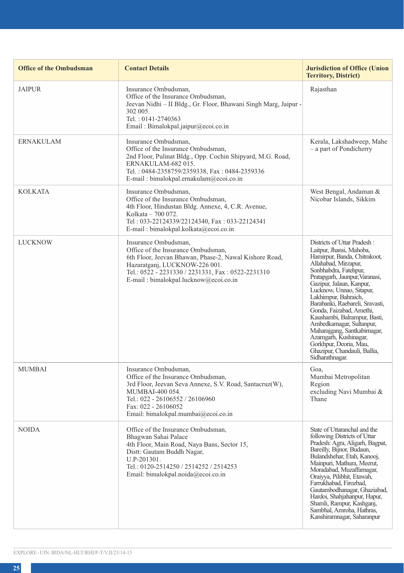| <b>Office of the Ombudsman</b> | <b>Contact Details</b>                                                                                                                                                                                                                              | <b>Jurisdiction of Office (Union</b><br><b>Territory, District)</b>                                                                                                                                                                                                                                                                                                                                                                                                                                                          |
|--------------------------------|-----------------------------------------------------------------------------------------------------------------------------------------------------------------------------------------------------------------------------------------------------|------------------------------------------------------------------------------------------------------------------------------------------------------------------------------------------------------------------------------------------------------------------------------------------------------------------------------------------------------------------------------------------------------------------------------------------------------------------------------------------------------------------------------|
| <b>JAIPUR</b>                  | Insurance Ombudsman,<br>Office of the Insurance Ombudsman,<br>Jeevan Nidhi - II Bldg., Gr. Floor, Bhawani Singh Marg, Jaipur -<br>302 005.<br>Tel.: 0141-2740363<br>Email: Bimalokpal.jaipur@ecoi.co.in                                             | Rajasthan                                                                                                                                                                                                                                                                                                                                                                                                                                                                                                                    |
| <b>ERNAKULAM</b>               | Insurance Ombudsman,<br>Office of the Insurance Ombudsman.<br>2nd Floor, Pulinat Bldg., Opp. Cochin Shipyard, M.G. Road,<br>ERNAKULAM-682 015.<br>Tel.: 0484-2358759/2359338, Fax: 0484-2359336<br>E-mail: bimalokpal.ernakulam@ecoi.co.in          | Kerala, Lakshadweep, Mahe<br>- a part of Pondicherry                                                                                                                                                                                                                                                                                                                                                                                                                                                                         |
| <b>KOLKATA</b>                 | Insurance Ombudsman,<br>Office of the Insurance Ombudsman,<br>4th Floor, Hindustan Bldg. Annexe, 4, C.R. Avenue,<br>Kolkata - 700 072.<br>Tel: 033-22124339/22124340, Fax: 033-22124341<br>E-mail: bimalokpal.kolkata@ecoi.co.in                    | West Bengal, Andaman &<br>Nicobar Islands, Sikkim                                                                                                                                                                                                                                                                                                                                                                                                                                                                            |
| <b>LUCKNOW</b>                 | Insurance Ombudsman,<br>Office of the Insurance Ombudsman,<br>6th Floor, Jeevan Bhawan, Phase-2, Nawal Kishore Road,<br>Hazaratganj, LUCKNOW-226 001.<br>Tel.: 0522 - 2231330 / 2231331, Fax: 0522-2231310<br>E-mail: bimalokpal.lucknow@ecoi.co.in | Districts of Uttar Pradesh:<br>Laitpur, Jhansi, Mahoba,<br>Hamirpur, Banda, Chitrakoot,<br>Allahabad, Mirzapur,<br>Sonbhabdra, Fatehpur,<br>Pratapgarh, Jaunpur, Varanasi,<br>Gazipur, Jalaun, Kanpur,<br>Lucknow, Unnao, Sitapur,<br>Lakhimpur, Bahraich,<br>Barabanki, Raebareli, Sravasti,<br>Gonda, Faizabad, Amethi,<br>Kaushambi, Balrampur, Basti,<br>Ambedkarnagar, Sultanpur,<br>Maharajgang, Santkabirnagar,<br>Azamgarh, Kushinagar,<br>Gorkhpur, Deoria, Mau,<br>Ghazipur, Chandauli, Ballia,<br>Sidharathnagar. |
| <b>MUMBAI</b>                  | Insurance Ombudsman,<br>Office of the Insurance Ombudsman,<br>3rd Floor, Jeevan Seva Annexe, S.V. Road, Santacruz(W),<br>MUMBAI-400 054.<br>Tel.: 022 - 26106552 / 26106960<br>Fax: 022 - 26106052<br>Email: bimalokpal.mumbai@ecoi.co.in           | Goa,<br>Mumbai Metropolitan<br>Region<br>excluding Navi Mumbai &<br>Thane                                                                                                                                                                                                                                                                                                                                                                                                                                                    |
| <b>NOIDA</b>                   | Office of the Insurance Ombudsman,<br>Bhagwan Sahai Palace<br>4th Floor, Main Road, Naya Bans, Sector 15,<br>Distt: Gautam Buddh Nagar,<br>U.P-201301.<br>Tel.: 0120-2514250 / 2514252 / 2514253<br>Email: bimalokpal.noida@ecoi.co.in              | State of Uttaranchal and the<br>following Districts of Uttar<br>Pradesh: Agra, Aligarh, Bagpat,<br>Bareilly, Bijnor, Budaun,<br>Bulandshehar, Etah, Kanooj,<br>Mainpuri, Mathura, Meerut,<br>Moradabad, Muzaffarnagar,<br>Oraivva, Pilibhit, Etawah.<br>Farrukhabad, Firozbad,<br>Gautambodhanagar, Ghaziabad,<br>Hardoi, Shahjahanpur, Hapur,<br>Shamli, Rampur, Kashganj,<br>Sambhal, Amroha, Hathras,<br>Kanshiramnagar, Saharanpur                                                                                       |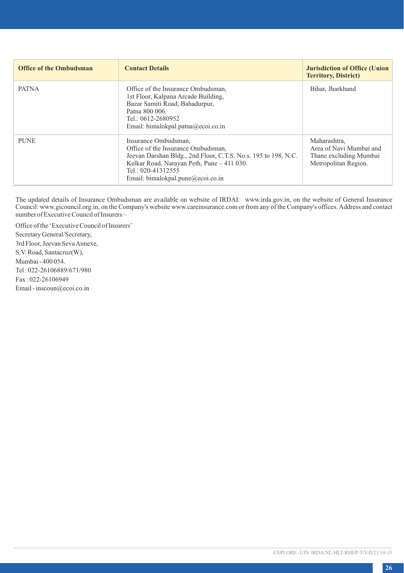| <b>Office of the Ombudsman</b> | <b>Contact Details</b>                                                                                                                                                                                                                | <b>Jurisdiction of Office (Union</b><br><b>Territory, District)</b>                       |
|--------------------------------|---------------------------------------------------------------------------------------------------------------------------------------------------------------------------------------------------------------------------------------|-------------------------------------------------------------------------------------------|
| <b>PATNA</b>                   | Office of the Insurance Ombudsman.<br>1st Floor, Kalpana Arcade Building,<br>Bazar Samiti Road, Bahadurpur,<br>Patna 800 006.<br>Tel.: $0612 - 2680952$<br>Email: bimalokpal.patna@ecoi.co.in                                         | Bihar, Jharkhand                                                                          |
| <b>PUNE</b>                    | Insurance Ombudsman,<br>Office of the Insurance Ombudsman,<br>Jeevan Darshan Bldg., 2nd Floor, C.T.S. No.s. 195 to 198, N.C.<br>Kelkar Road, Narayan Peth, Pune - 411 030.<br>Tel.: 020-41312555<br>Email: bimalokpal.pune@ecoi.co.in | Maharashtra.<br>Area of Navi Mumbai and<br>Thane excluding Mumbai<br>Metropolitan Region. |

The updated details of Insurance Ombudsman are available on website of IRDAI: www.irda.gov.in, on the website of General Insurance Council: www.gicouncil.org.in, on the Company's website www.careinsurance.com or from any of the Company's offices. Address and contact number of Executive Council of Insurers –

Office of the 'Executive Council of Insurers' Secretary General/Secretary, 3rd Floor, Jeevan Seva Annexe, S.V. Road, Santacruz(W), Mumbai - 400 054. Tel : 022-26106889/671/980 Fax : 022-26106949 Email - inscoun@ecoi.co.in